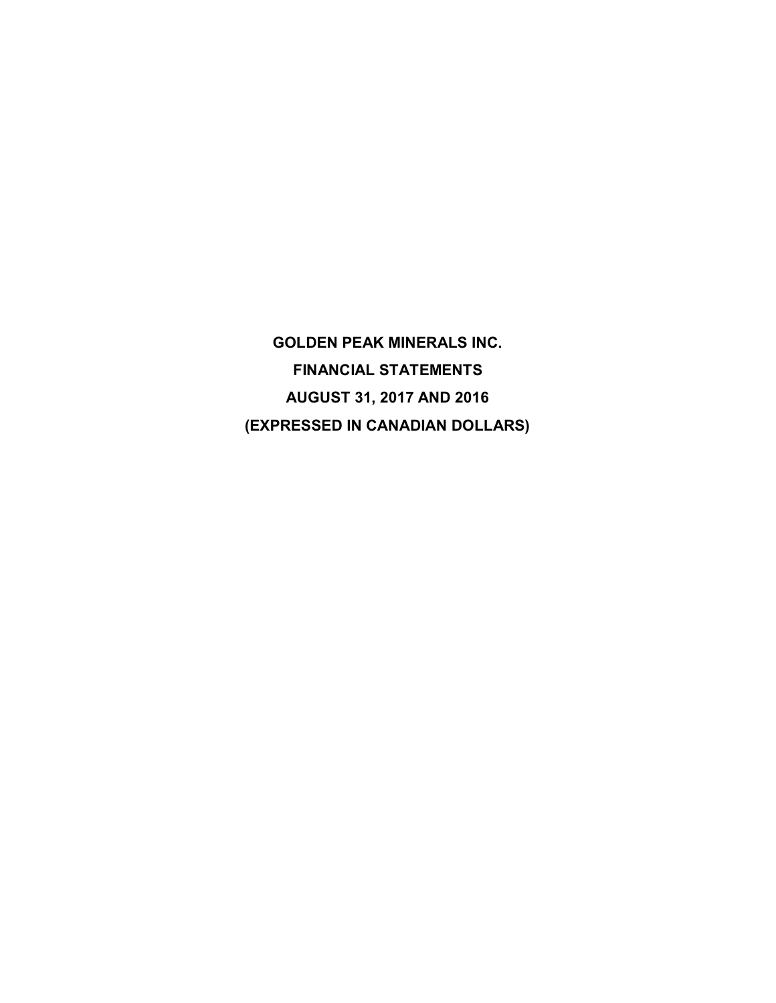**GOLDEN PEAK MINERALS INC. FINANCIAL STATEMENTS AUGUST 31, 2017 AND 2016 (EXPRESSED IN CANADIAN DOLLARS)**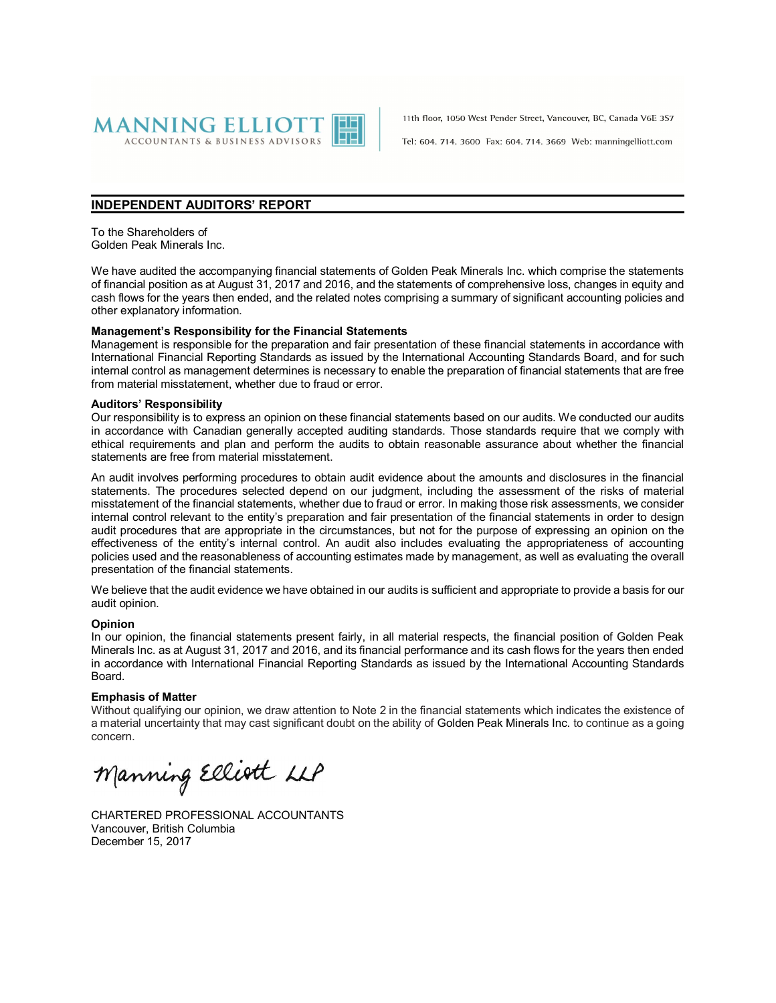

11th floor, 1050 West Pender Street, Vancouver, BC, Canada V6E 3S7

Tel: 604, 714, 3600 Fax: 604, 714, 3669 Web: manningelliott.com

### **INDEPENDENT AUDITORS' REPORT**

To the Shareholders of Golden Peak Minerals Inc.

We have audited the accompanying financial statements of Golden Peak Minerals Inc. which comprise the statements of financial position as at August 31, 2017 and 2016, and the statements of comprehensive loss, changes in equity and cash flows for the years then ended, and the related notes comprising a summary of significant accounting policies and other explanatory information.

#### **Management's Responsibility for the Financial Statements**

Management is responsible for the preparation and fair presentation of these financial statements in accordance with International Financial Reporting Standards as issued by the International Accounting Standards Board, and for such internal control as management determines is necessary to enable the preparation of financial statements that are free from material misstatement, whether due to fraud or error.

#### **Auditors' Responsibility**

Our responsibility is to express an opinion on these financial statements based on our audits. We conducted our audits in accordance with Canadian generally accepted auditing standards. Those standards require that we comply with ethical requirements and plan and perform the audits to obtain reasonable assurance about whether the financial statements are free from material misstatement.

An audit involves performing procedures to obtain audit evidence about the amounts and disclosures in the financial statements. The procedures selected depend on our judgment, including the assessment of the risks of material misstatement of the financial statements, whether due to fraud or error. In making those risk assessments, we consider internal control relevant to the entity's preparation and fair presentation of the financial statements in order to design audit procedures that are appropriate in the circumstances, but not for the purpose of expressing an opinion on the effectiveness of the entity's internal control. An audit also includes evaluating the appropriateness of accounting policies used and the reasonableness of accounting estimates made by management, as well as evaluating the overall presentation of the financial statements.

We believe that the audit evidence we have obtained in our audits is sufficient and appropriate to provide a basis for our audit opinion.

#### **Opinion**

In our opinion, the financial statements present fairly, in all material respects, the financial position of Golden Peak Minerals Inc. as at August 31, 2017 and 2016, and its financial performance and its cash flows for the years then ended in accordance with International Financial Reporting Standards as issued by the International Accounting Standards Board.

#### **Emphasis of Matter**

Without qualifying our opinion, we draw attention to Note 2 in the financial statements which indicates the existence of a material uncertainty that may cast significant doubt on the ability of Golden Peak Minerals Inc. to continue as a going concern.

Manning Elliott LLP

CHARTERED PROFESSIONAL ACCOUNTANTS Vancouver, British Columbia December 15, 2017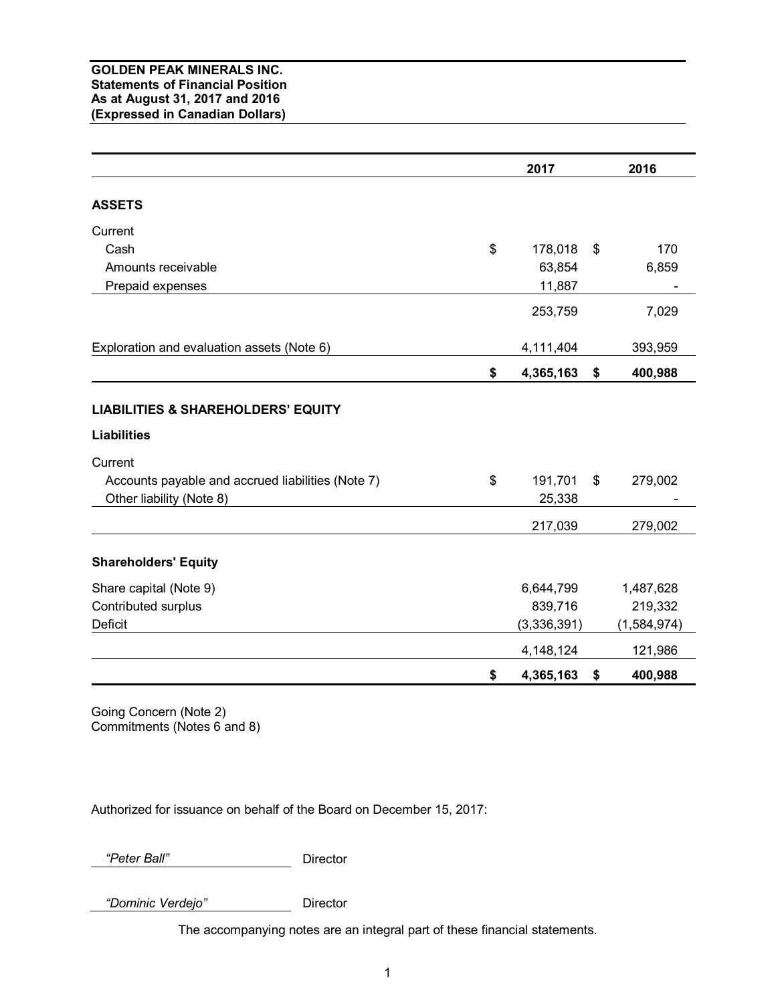|                                                                     | 2017            |                | 2016        |
|---------------------------------------------------------------------|-----------------|----------------|-------------|
| <b>ASSETS</b>                                                       |                 |                |             |
| Current                                                             |                 |                |             |
| Cash                                                                | \$<br>178,018   | \$             | 170         |
| Amounts receivable                                                  | 63,854          |                | 6,859       |
| Prepaid expenses                                                    | 11,887          |                |             |
|                                                                     | 253,759         |                | 7,029       |
| Exploration and evaluation assets (Note 6)                          | 4,111,404       |                | 393,959     |
|                                                                     | \$<br>4,365,163 | \$             | 400,988     |
| <b>LIABILITIES &amp; SHAREHOLDERS' EQUITY</b><br><b>Liabilities</b> |                 |                |             |
| Current                                                             |                 |                |             |
| Accounts payable and accrued liabilities (Note 7)                   | \$<br>191,701   | $\mathfrak{S}$ | 279,002     |
| Other liability (Note 8)                                            | 25,338          |                |             |
|                                                                     | 217,039         |                | 279,002     |
| <b>Shareholders' Equity</b>                                         |                 |                |             |
| Share capital (Note 9)                                              | 6,644,799       |                | 1,487,628   |
| Contributed surplus                                                 | 839,716         |                | 219,332     |
| <b>Deficit</b>                                                      | (3,336,391)     |                | (1,584,974) |
|                                                                     | 4,148,124       |                | 121,986     |
|                                                                     | \$<br>4,365,163 | \$             | 400,988     |

Going Concern (Note 2) Commitments (Notes 6 and 8)

Authorized for issuance on behalf of the Board on December 15, 2017:

*"Peter Ball"* Director

*"Dominic Verdejo"* Director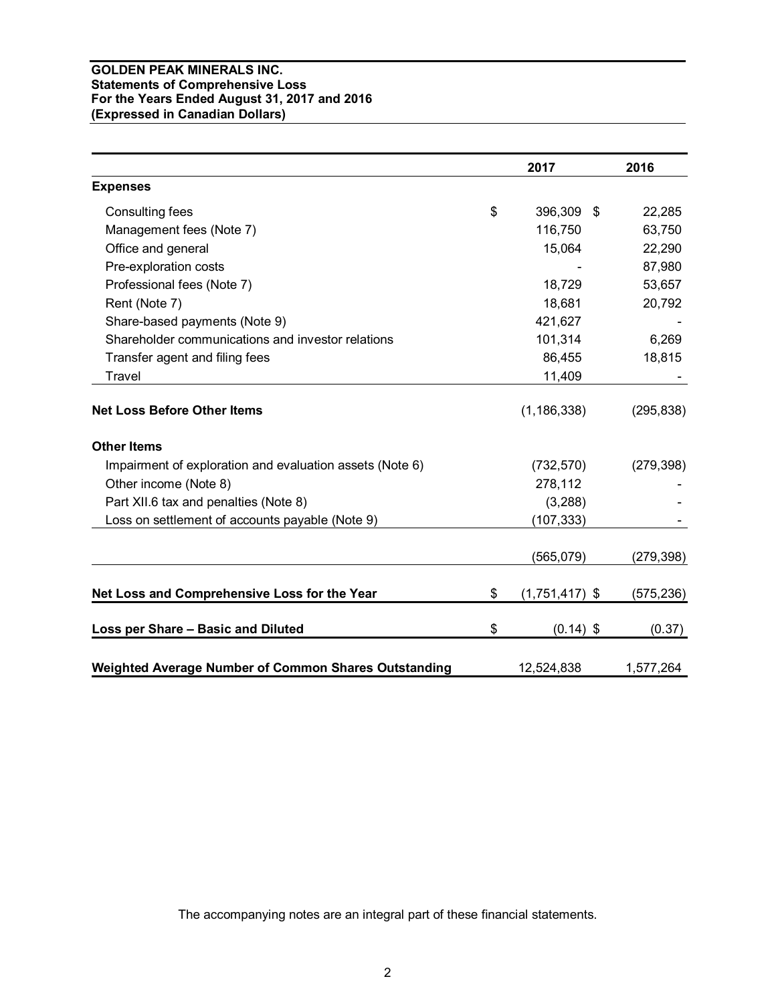### **GOLDEN PEAK MINERALS INC. Statements of Comprehensive Loss For the Years Ended August 31, 2017 and 2016 (Expressed in Canadian Dollars)**

|                                                          | 2017                   | 2016       |
|----------------------------------------------------------|------------------------|------------|
| <b>Expenses</b>                                          |                        |            |
| Consulting fees                                          | \$<br>396,309<br>\$    | 22,285     |
| Management fees (Note 7)                                 | 116,750                | 63,750     |
| Office and general                                       | 15,064                 | 22,290     |
| Pre-exploration costs                                    |                        | 87,980     |
| Professional fees (Note 7)                               | 18,729                 | 53,657     |
| Rent (Note 7)                                            | 18,681                 | 20,792     |
| Share-based payments (Note 9)                            | 421,627                |            |
| Shareholder communications and investor relations        | 101,314                | 6,269      |
| Transfer agent and filing fees                           | 86,455                 | 18,815     |
| Travel                                                   | 11,409                 |            |
| <b>Net Loss Before Other Items</b>                       | (1, 186, 338)          | (295, 838) |
| <b>Other Items</b>                                       |                        |            |
| Impairment of exploration and evaluation assets (Note 6) | (732, 570)             | (279, 398) |
| Other income (Note 8)                                    | 278,112                |            |
| Part XII.6 tax and penalties (Note 8)                    | (3, 288)               |            |
| Loss on settlement of accounts payable (Note 9)          | (107, 333)             |            |
|                                                          | (565,079)              | (279, 398) |
| Net Loss and Comprehensive Loss for the Year             | \$<br>$(1,751,417)$ \$ | (575, 236) |
| Loss per Share - Basic and Diluted                       | \$<br>$(0.14)$ \$      | (0.37)     |
| Weighted Average Number of Common Shares Outstanding     | 12,524,838             | 1,577,264  |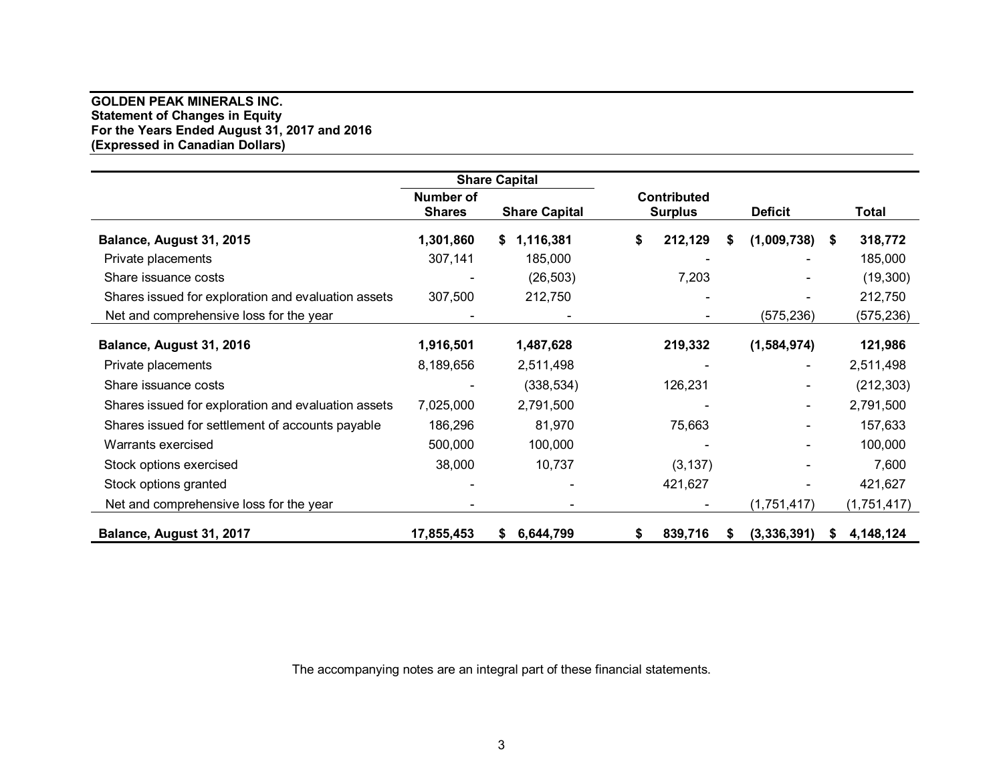## **GOLDEN PEAK MINERALS INC. Statement of Changes in Equity For the Years Ended August 31, 2017 and 2016 (Expressed in Canadian Dollars)**

|                                                     |                            | <b>Share Capital</b> |                                      |   |                |     |             |
|-----------------------------------------------------|----------------------------|----------------------|--------------------------------------|---|----------------|-----|-------------|
|                                                     | Number of<br><b>Shares</b> | <b>Share Capital</b> | <b>Contributed</b><br><b>Surplus</b> |   | <b>Deficit</b> |     | Total       |
| Balance, August 31, 2015                            | 1,301,860                  | 1,116,381<br>S.      | \$<br>212,129                        | S | (1,009,738)    | - 5 | 318,772     |
| Private placements                                  | 307,141                    | 185,000              |                                      |   |                |     | 185,000     |
| Share issuance costs                                |                            | (26, 503)            | 7,203                                |   |                |     | (19,300)    |
| Shares issued for exploration and evaluation assets | 307,500                    | 212,750              |                                      |   |                |     | 212,750     |
| Net and comprehensive loss for the year             |                            |                      |                                      |   | (575, 236)     |     | (575, 236)  |
| Balance, August 31, 2016                            | 1,916,501                  | 1,487,628            | 219,332                              |   | (1,584,974)    |     | 121,986     |
| Private placements                                  | 8,189,656                  | 2,511,498            |                                      |   | $\blacksquare$ |     | 2,511,498   |
| Share issuance costs                                |                            | (338, 534)           | 126,231                              |   |                |     | (212, 303)  |
| Shares issued for exploration and evaluation assets | 7,025,000                  | 2,791,500            |                                      |   |                |     | 2,791,500   |
| Shares issued for settlement of accounts payable    | 186,296                    | 81,970               | 75,663                               |   |                |     | 157,633     |
| Warrants exercised                                  | 500,000                    | 100,000              |                                      |   |                |     | 100,000     |
| Stock options exercised                             | 38,000                     | 10,737               | (3, 137)                             |   |                |     | 7,600       |
| Stock options granted                               |                            |                      | 421,627                              |   |                |     | 421,627     |
| Net and comprehensive loss for the year             |                            |                      |                                      |   | (1,751,417)    |     | (1,751,417) |
| Balance, August 31, 2017                            | 17,855,453                 | 6,644,799<br>S.      | 839,716<br>S                         |   | (3,336,391)    | S.  | 4,148,124   |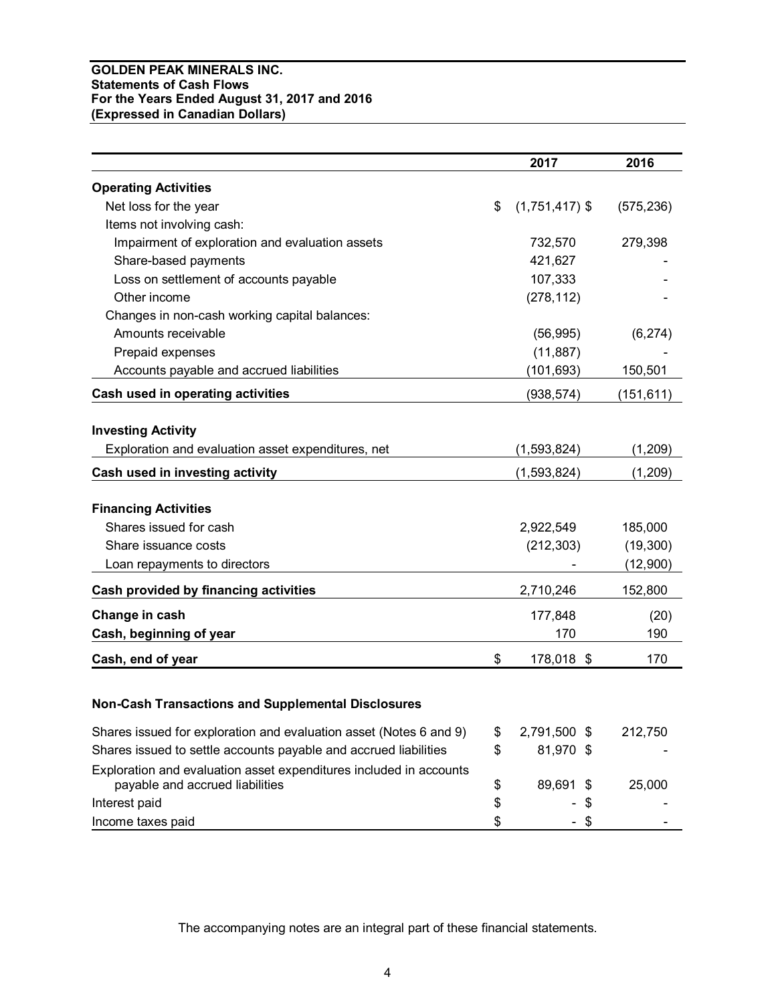## **GOLDEN PEAK MINERALS INC. Statements of Cash Flows For the Years Ended August 31, 2017 and 2016 (Expressed in Canadian Dollars)**

|                                                                    | 2017                   | 2016       |
|--------------------------------------------------------------------|------------------------|------------|
| <b>Operating Activities</b>                                        |                        |            |
| Net loss for the year                                              | \$<br>$(1,751,417)$ \$ | (575, 236) |
| Items not involving cash:                                          |                        |            |
| Impairment of exploration and evaluation assets                    | 732,570                | 279,398    |
| Share-based payments                                               | 421,627                |            |
| Loss on settlement of accounts payable                             | 107,333                |            |
| Other income                                                       | (278, 112)             |            |
| Changes in non-cash working capital balances:                      |                        |            |
| Amounts receivable                                                 | (56, 995)              | (6, 274)   |
| Prepaid expenses                                                   | (11, 887)              |            |
| Accounts payable and accrued liabilities                           | (101, 693)             | 150,501    |
| Cash used in operating activities                                  | (938, 574)             | (151, 611) |
|                                                                    |                        |            |
| <b>Investing Activity</b>                                          |                        |            |
| Exploration and evaluation asset expenditures, net                 | (1,593,824)            | (1, 209)   |
| Cash used in investing activity                                    | (1, 593, 824)          | (1, 209)   |
| <b>Financing Activities</b>                                        |                        |            |
| Shares issued for cash                                             | 2,922,549              | 185,000    |
| Share issuance costs                                               | (212, 303)             | (19,300)   |
|                                                                    |                        |            |
| Loan repayments to directors                                       |                        | (12,900)   |
| Cash provided by financing activities                              | 2,710,246              | 152,800    |
| Change in cash                                                     | 177,848                | (20)       |
| Cash, beginning of year                                            | 170                    | 190        |
| Cash, end of year                                                  | \$<br>178,018 \$       | 170        |
|                                                                    |                        |            |
| <b>Non-Cash Transactions and Supplemental Disclosures</b>          |                        |            |
| Shares issued for exploration and evaluation asset (Notes 6 and 9) | \$<br>2,791,500 \$     | 212,750    |
| Shares issued to settle accounts payable and accrued liabilities   | \$<br>81,970 \$        |            |
| Exploration and evaluation asset expenditures included in accounts |                        |            |
| payable and accrued liabilities                                    | \$<br>89,691<br>\$     | 25,000     |
| Interest paid                                                      | \$<br>\$               |            |
| Income taxes paid                                                  | \$<br>\$               |            |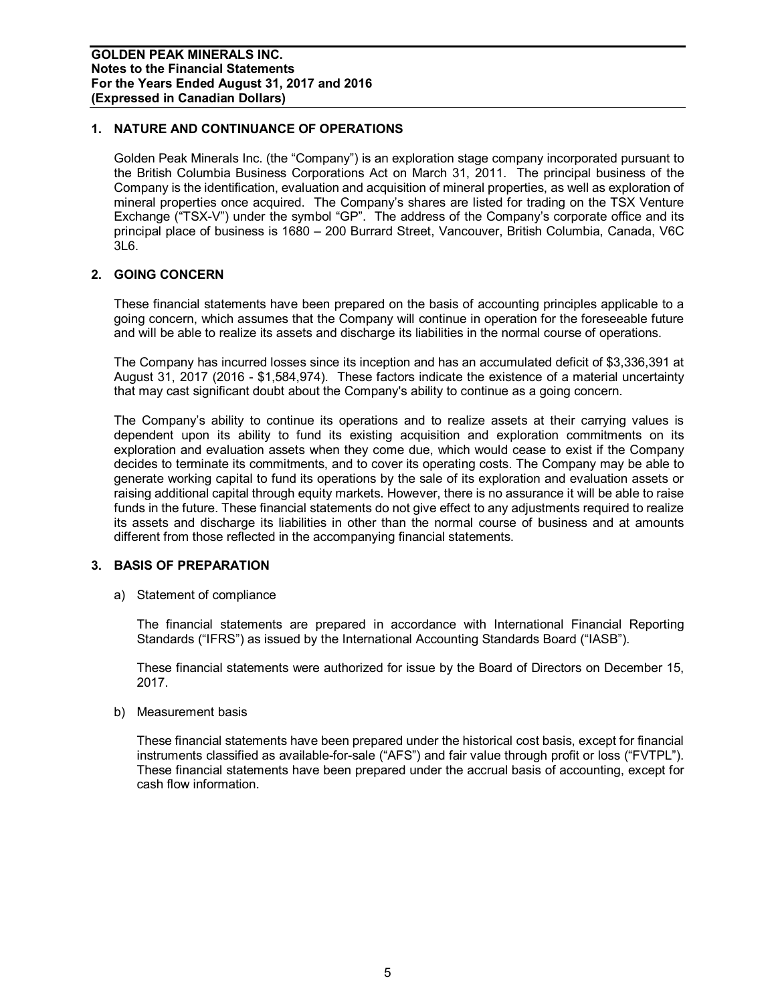# **1. NATURE AND CONTINUANCE OF OPERATIONS**

Golden Peak Minerals Inc. (the "Company") is an exploration stage company incorporated pursuant to the British Columbia Business Corporations Act on March 31, 2011. The principal business of the Company is the identification, evaluation and acquisition of mineral properties, as well as exploration of mineral properties once acquired. The Company's shares are listed for trading on the TSX Venture Exchange ("TSX-V") under the symbol "GP". The address of the Company's corporate office and its principal place of business is 1680 – 200 Burrard Street, Vancouver, British Columbia, Canada, V6C 3L6.

## **2. GOING CONCERN**

These financial statements have been prepared on the basis of accounting principles applicable to a going concern, which assumes that the Company will continue in operation for the foreseeable future and will be able to realize its assets and discharge its liabilities in the normal course of operations.

The Company has incurred losses since its inception and has an accumulated deficit of \$3,336,391 at August 31, 2017 (2016 - \$1,584,974). These factors indicate the existence of a material uncertainty that may cast significant doubt about the Company's ability to continue as a going concern.

The Company's ability to continue its operations and to realize assets at their carrying values is dependent upon its ability to fund its existing acquisition and exploration commitments on its exploration and evaluation assets when they come due, which would cease to exist if the Company decides to terminate its commitments, and to cover its operating costs. The Company may be able to generate working capital to fund its operations by the sale of its exploration and evaluation assets or raising additional capital through equity markets. However, there is no assurance it will be able to raise funds in the future. These financial statements do not give effect to any adjustments required to realize its assets and discharge its liabilities in other than the normal course of business and at amounts different from those reflected in the accompanying financial statements.

## **3. BASIS OF PREPARATION**

a) Statement of compliance

The financial statements are prepared in accordance with International Financial Reporting Standards ("IFRS") as issued by the International Accounting Standards Board ("IASB").

These financial statements were authorized for issue by the Board of Directors on December 15, 2017.

b) Measurement basis

These financial statements have been prepared under the historical cost basis, except for financial instruments classified as available-for-sale ("AFS") and fair value through profit or loss ("FVTPL"). These financial statements have been prepared under the accrual basis of accounting, except for cash flow information.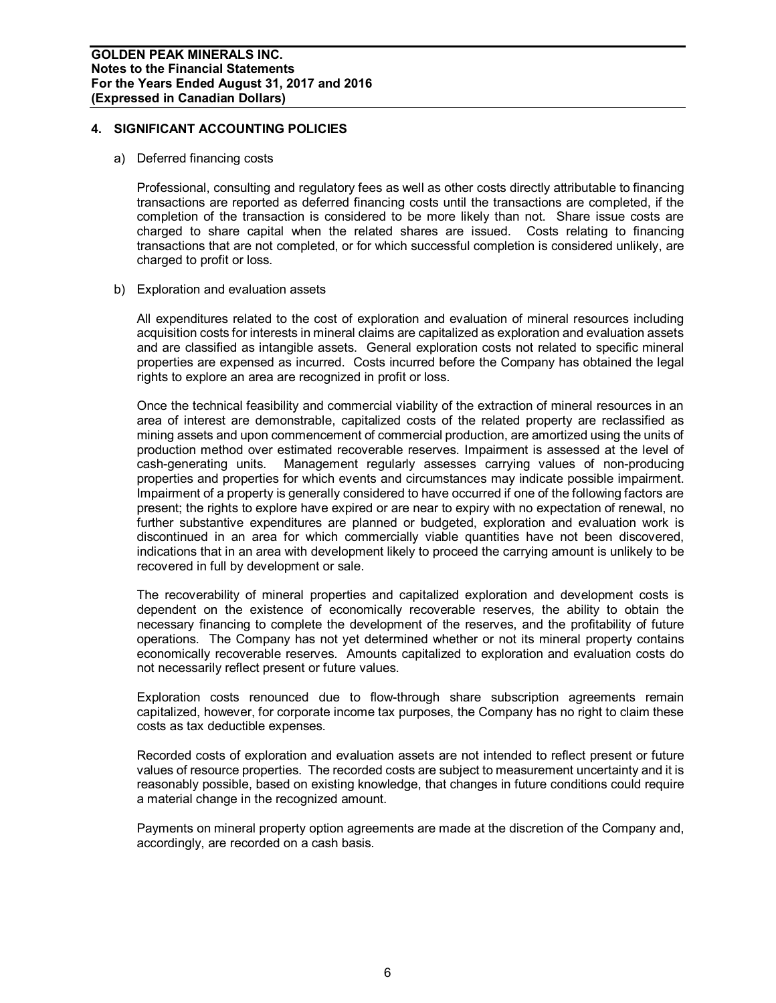### **4. SIGNIFICANT ACCOUNTING POLICIES**

#### a) Deferred financing costs

Professional, consulting and regulatory fees as well as other costs directly attributable to financing transactions are reported as deferred financing costs until the transactions are completed, if the completion of the transaction is considered to be more likely than not. Share issue costs are charged to share capital when the related shares are issued. Costs relating to financing transactions that are not completed, or for which successful completion is considered unlikely, are charged to profit or loss.

### b) Exploration and evaluation assets

All expenditures related to the cost of exploration and evaluation of mineral resources including acquisition costs for interests in mineral claims are capitalized as exploration and evaluation assets and are classified as intangible assets. General exploration costs not related to specific mineral properties are expensed as incurred. Costs incurred before the Company has obtained the legal rights to explore an area are recognized in profit or loss.

Once the technical feasibility and commercial viability of the extraction of mineral resources in an area of interest are demonstrable, capitalized costs of the related property are reclassified as mining assets and upon commencement of commercial production, are amortized using the units of production method over estimated recoverable reserves. Impairment is assessed at the level of cash-generating units. Management regularly assesses carrying values of non-producing properties and properties for which events and circumstances may indicate possible impairment. Impairment of a property is generally considered to have occurred if one of the following factors are present; the rights to explore have expired or are near to expiry with no expectation of renewal, no further substantive expenditures are planned or budgeted, exploration and evaluation work is discontinued in an area for which commercially viable quantities have not been discovered, indications that in an area with development likely to proceed the carrying amount is unlikely to be recovered in full by development or sale.

The recoverability of mineral properties and capitalized exploration and development costs is dependent on the existence of economically recoverable reserves, the ability to obtain the necessary financing to complete the development of the reserves, and the profitability of future operations. The Company has not yet determined whether or not its mineral property contains economically recoverable reserves. Amounts capitalized to exploration and evaluation costs do not necessarily reflect present or future values.

Exploration costs renounced due to flow-through share subscription agreements remain capitalized, however, for corporate income tax purposes, the Company has no right to claim these costs as tax deductible expenses.

Recorded costs of exploration and evaluation assets are not intended to reflect present or future values of resource properties. The recorded costs are subject to measurement uncertainty and it is reasonably possible, based on existing knowledge, that changes in future conditions could require a material change in the recognized amount.

Payments on mineral property option agreements are made at the discretion of the Company and, accordingly, are recorded on a cash basis.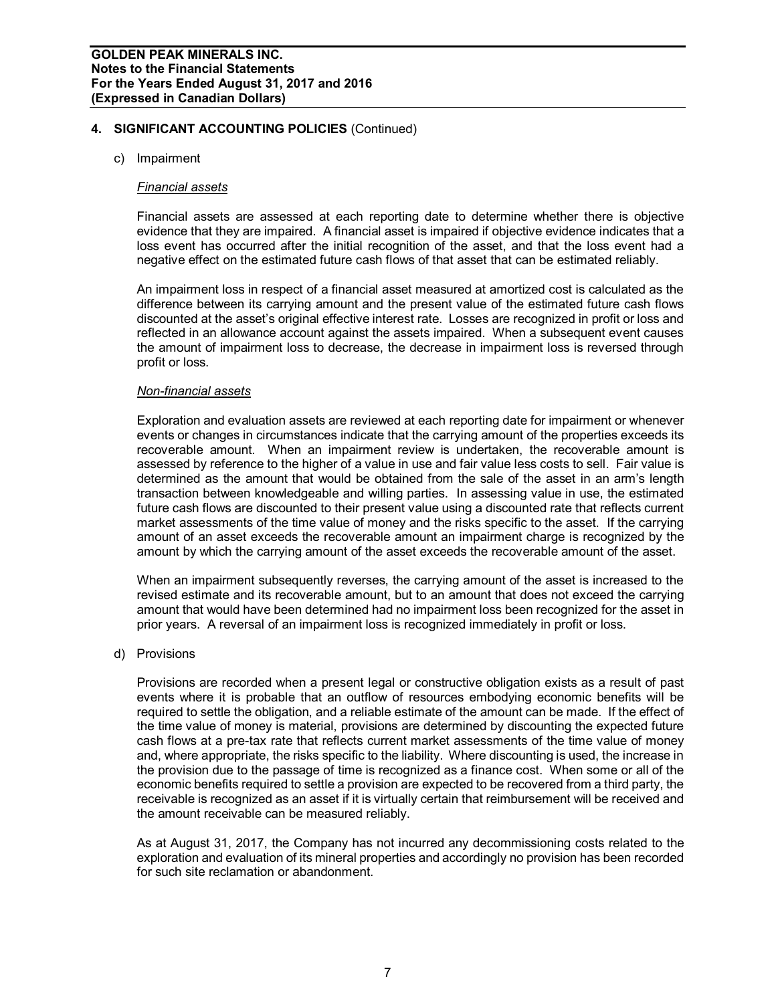### c) Impairment

#### *Financial assets*

Financial assets are assessed at each reporting date to determine whether there is objective evidence that they are impaired. A financial asset is impaired if objective evidence indicates that a loss event has occurred after the initial recognition of the asset, and that the loss event had a negative effect on the estimated future cash flows of that asset that can be estimated reliably.

An impairment loss in respect of a financial asset measured at amortized cost is calculated as the difference between its carrying amount and the present value of the estimated future cash flows discounted at the asset's original effective interest rate. Losses are recognized in profit or loss and reflected in an allowance account against the assets impaired. When a subsequent event causes the amount of impairment loss to decrease, the decrease in impairment loss is reversed through profit or loss.

#### *Non-financial assets*

Exploration and evaluation assets are reviewed at each reporting date for impairment or whenever events or changes in circumstances indicate that the carrying amount of the properties exceeds its recoverable amount. When an impairment review is undertaken, the recoverable amount is assessed by reference to the higher of a value in use and fair value less costs to sell. Fair value is determined as the amount that would be obtained from the sale of the asset in an arm's length transaction between knowledgeable and willing parties. In assessing value in use, the estimated future cash flows are discounted to their present value using a discounted rate that reflects current market assessments of the time value of money and the risks specific to the asset. If the carrying amount of an asset exceeds the recoverable amount an impairment charge is recognized by the amount by which the carrying amount of the asset exceeds the recoverable amount of the asset.

When an impairment subsequently reverses, the carrying amount of the asset is increased to the revised estimate and its recoverable amount, but to an amount that does not exceed the carrying amount that would have been determined had no impairment loss been recognized for the asset in prior years. A reversal of an impairment loss is recognized immediately in profit or loss.

### d) Provisions

Provisions are recorded when a present legal or constructive obligation exists as a result of past events where it is probable that an outflow of resources embodying economic benefits will be required to settle the obligation, and a reliable estimate of the amount can be made. If the effect of the time value of money is material, provisions are determined by discounting the expected future cash flows at a pre-tax rate that reflects current market assessments of the time value of money and, where appropriate, the risks specific to the liability. Where discounting is used, the increase in the provision due to the passage of time is recognized as a finance cost. When some or all of the economic benefits required to settle a provision are expected to be recovered from a third party, the receivable is recognized as an asset if it is virtually certain that reimbursement will be received and the amount receivable can be measured reliably.

As at August 31, 2017, the Company has not incurred any decommissioning costs related to the exploration and evaluation of its mineral properties and accordingly no provision has been recorded for such site reclamation or abandonment.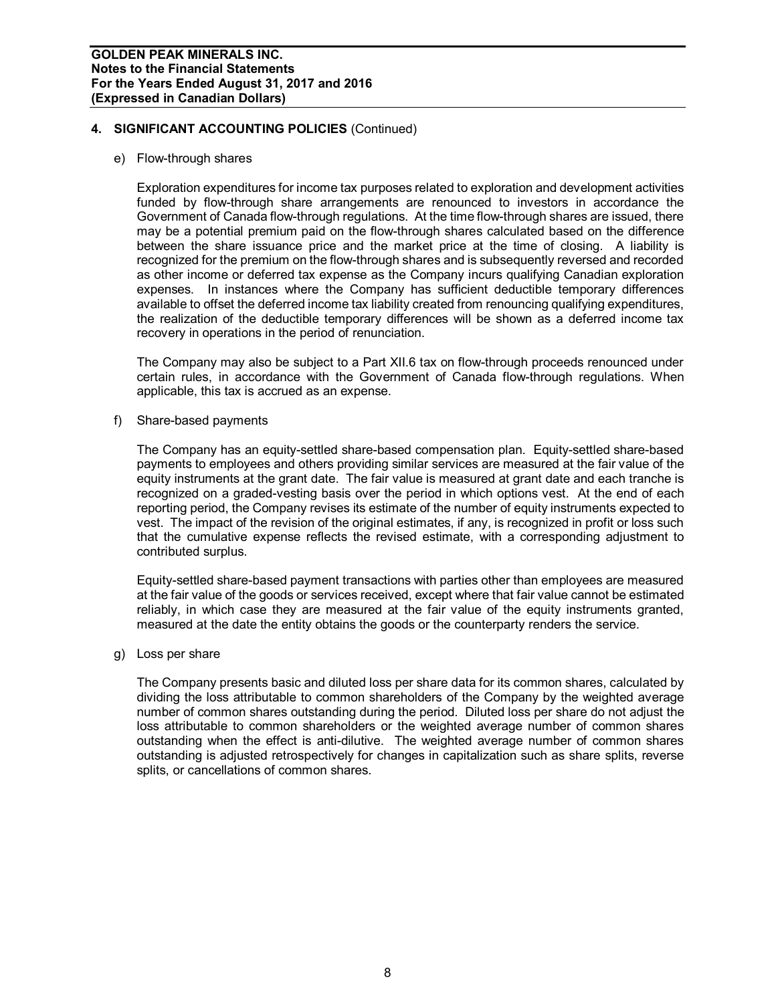e) Flow-through shares

Exploration expenditures for income tax purposes related to exploration and development activities funded by flow-through share arrangements are renounced to investors in accordance the Government of Canada flow-through regulations. At the time flow-through shares are issued, there may be a potential premium paid on the flow-through shares calculated based on the difference between the share issuance price and the market price at the time of closing. A liability is recognized for the premium on the flow-through shares and is subsequently reversed and recorded as other income or deferred tax expense as the Company incurs qualifying Canadian exploration expenses. In instances where the Company has sufficient deductible temporary differences available to offset the deferred income tax liability created from renouncing qualifying expenditures, the realization of the deductible temporary differences will be shown as a deferred income tax recovery in operations in the period of renunciation.

The Company may also be subject to a Part XII.6 tax on flow-through proceeds renounced under certain rules, in accordance with the Government of Canada flow-through regulations. When applicable, this tax is accrued as an expense.

f) Share-based payments

The Company has an equity-settled share-based compensation plan. Equity-settled share-based payments to employees and others providing similar services are measured at the fair value of the equity instruments at the grant date. The fair value is measured at grant date and each tranche is recognized on a graded-vesting basis over the period in which options vest. At the end of each reporting period, the Company revises its estimate of the number of equity instruments expected to vest. The impact of the revision of the original estimates, if any, is recognized in profit or loss such that the cumulative expense reflects the revised estimate, with a corresponding adjustment to contributed surplus.

Equity-settled share-based payment transactions with parties other than employees are measured at the fair value of the goods or services received, except where that fair value cannot be estimated reliably, in which case they are measured at the fair value of the equity instruments granted, measured at the date the entity obtains the goods or the counterparty renders the service.

g) Loss per share

The Company presents basic and diluted loss per share data for its common shares, calculated by dividing the loss attributable to common shareholders of the Company by the weighted average number of common shares outstanding during the period. Diluted loss per share do not adjust the loss attributable to common shareholders or the weighted average number of common shares outstanding when the effect is anti-dilutive. The weighted average number of common shares outstanding is adjusted retrospectively for changes in capitalization such as share splits, reverse splits, or cancellations of common shares.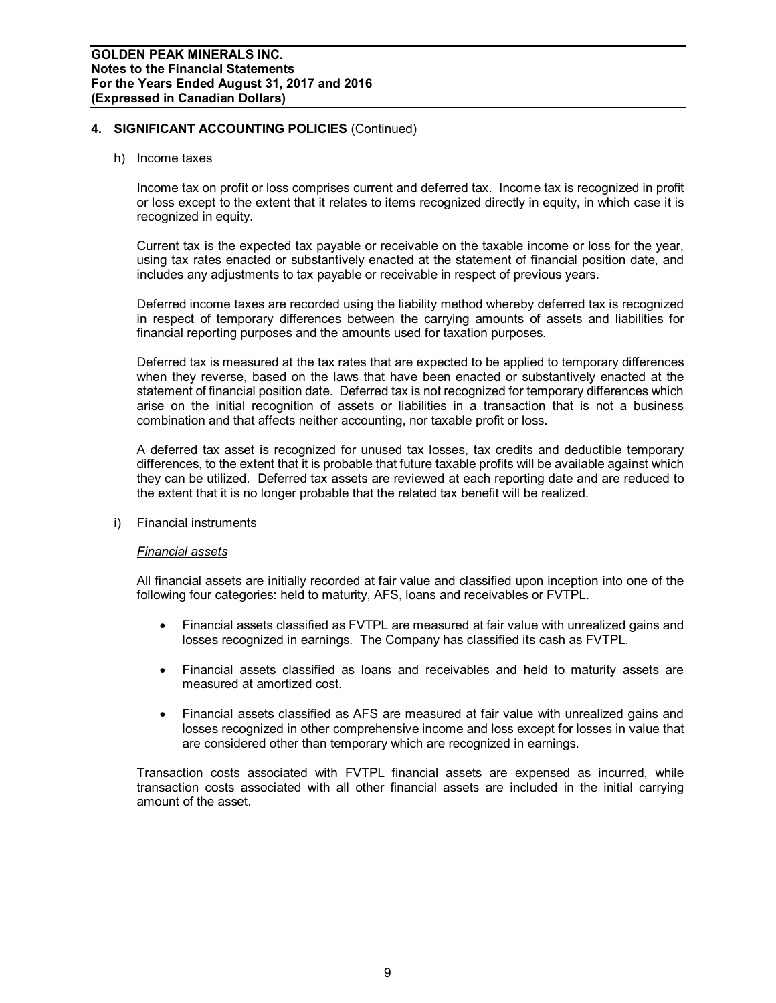#### h) Income taxes

Income tax on profit or loss comprises current and deferred tax. Income tax is recognized in profit or loss except to the extent that it relates to items recognized directly in equity, in which case it is recognized in equity.

Current tax is the expected tax payable or receivable on the taxable income or loss for the year, using tax rates enacted or substantively enacted at the statement of financial position date, and includes any adjustments to tax payable or receivable in respect of previous years.

Deferred income taxes are recorded using the liability method whereby deferred tax is recognized in respect of temporary differences between the carrying amounts of assets and liabilities for financial reporting purposes and the amounts used for taxation purposes.

Deferred tax is measured at the tax rates that are expected to be applied to temporary differences when they reverse, based on the laws that have been enacted or substantively enacted at the statement of financial position date. Deferred tax is not recognized for temporary differences which arise on the initial recognition of assets or liabilities in a transaction that is not a business combination and that affects neither accounting, nor taxable profit or loss.

A deferred tax asset is recognized for unused tax losses, tax credits and deductible temporary differences, to the extent that it is probable that future taxable profits will be available against which they can be utilized. Deferred tax assets are reviewed at each reporting date and are reduced to the extent that it is no longer probable that the related tax benefit will be realized.

i) Financial instruments

### *Financial assets*

 All financial assets are initially recorded at fair value and classified upon inception into one of the following four categories: held to maturity, AFS, loans and receivables or FVTPL.

- · Financial assets classified as FVTPL are measured at fair value with unrealized gains and losses recognized in earnings. The Company has classified its cash as FVTPL.
- · Financial assets classified as loans and receivables and held to maturity assets are measured at amortized cost.
- · Financial assets classified as AFS are measured at fair value with unrealized gains and losses recognized in other comprehensive income and loss except for losses in value that are considered other than temporary which are recognized in earnings.

 Transaction costs associated with FVTPL financial assets are expensed as incurred, while transaction costs associated with all other financial assets are included in the initial carrying amount of the asset.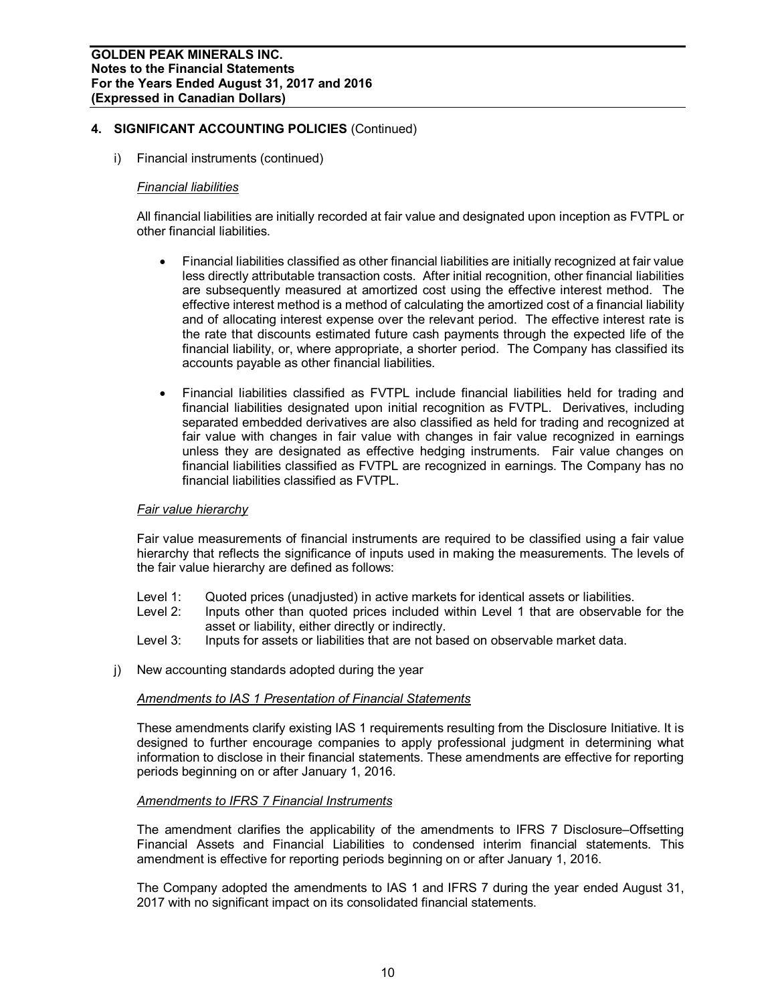i) Financial instruments (continued)

#### *Financial liabilities*

All financial liabilities are initially recorded at fair value and designated upon inception as FVTPL or other financial liabilities.

- · Financial liabilities classified as other financial liabilities are initially recognized at fair value less directly attributable transaction costs. After initial recognition, other financial liabilities are subsequently measured at amortized cost using the effective interest method. The effective interest method is a method of calculating the amortized cost of a financial liability and of allocating interest expense over the relevant period. The effective interest rate is the rate that discounts estimated future cash payments through the expected life of the financial liability, or, where appropriate, a shorter period. The Company has classified its accounts payable as other financial liabilities.
- · Financial liabilities classified as FVTPL include financial liabilities held for trading and financial liabilities designated upon initial recognition as FVTPL. Derivatives, including separated embedded derivatives are also classified as held for trading and recognized at fair value with changes in fair value with changes in fair value recognized in earnings unless they are designated as effective hedging instruments. Fair value changes on financial liabilities classified as FVTPL are recognized in earnings. The Company has no financial liabilities classified as FVTPL.

### *Fair value hierarchy*

Fair value measurements of financial instruments are required to be classified using a fair value hierarchy that reflects the significance of inputs used in making the measurements. The levels of the fair value hierarchy are defined as follows:

- Level 1: Quoted prices (unadjusted) in active markets for identical assets or liabilities.
- Level 2: Inputs other than quoted prices included within Level 1 that are observable for the asset or liability, either directly or indirectly.
- Level 3: Inputs for assets or liabilities that are not based on observable market data.
- j) New accounting standards adopted during the year

#### *Amendments to IAS 1 Presentation of Financial Statements*

These amendments clarify existing IAS 1 requirements resulting from the Disclosure Initiative. It is designed to further encourage companies to apply professional judgment in determining what information to disclose in their financial statements. These amendments are effective for reporting periods beginning on or after January 1, 2016.

#### *Amendments to IFRS 7 Financial Instruments*

The amendment clarifies the applicability of the amendments to IFRS 7 Disclosure–Offsetting Financial Assets and Financial Liabilities to condensed interim financial statements. This amendment is effective for reporting periods beginning on or after January 1, 2016.

The Company adopted the amendments to IAS 1 and IFRS 7 during the year ended August 31, 2017 with no significant impact on its consolidated financial statements.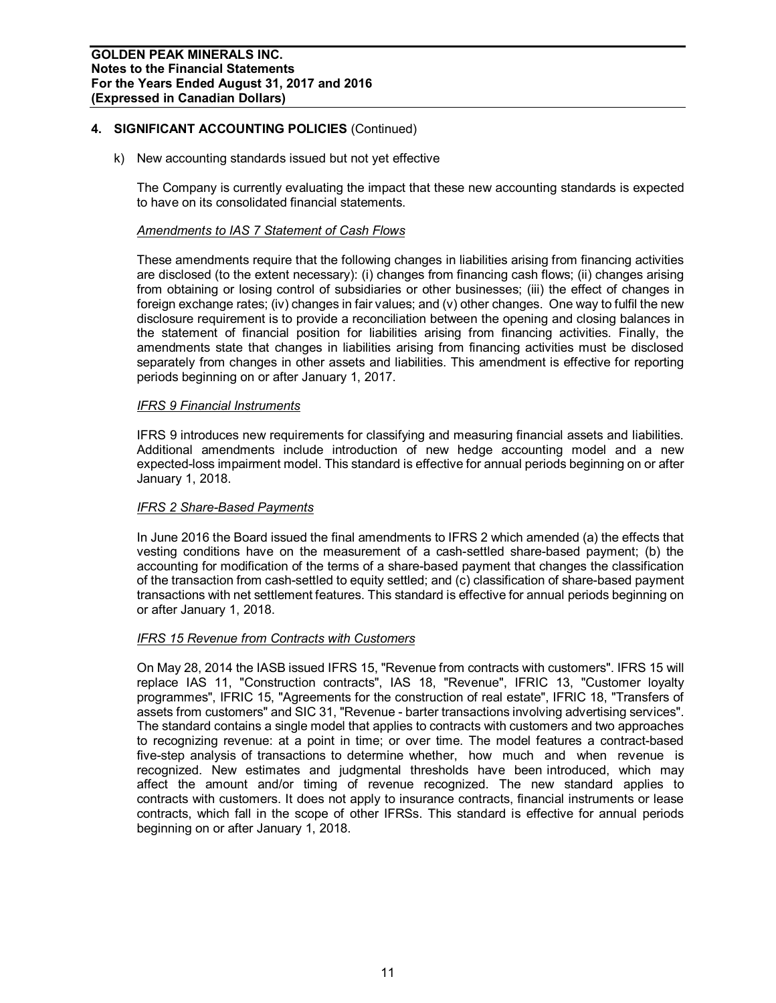k) New accounting standards issued but not yet effective

The Company is currently evaluating the impact that these new accounting standards is expected to have on its consolidated financial statements.

#### *Amendments to IAS 7 Statement of Cash Flows*

These amendments require that the following changes in liabilities arising from financing activities are disclosed (to the extent necessary): (i) changes from financing cash flows; (ii) changes arising from obtaining or losing control of subsidiaries or other businesses; (iii) the effect of changes in foreign exchange rates; (iv) changes in fair values; and (v) other changes. One way to fulfil the new disclosure requirement is to provide a reconciliation between the opening and closing balances in the statement of financial position for liabilities arising from financing activities. Finally, the amendments state that changes in liabilities arising from financing activities must be disclosed separately from changes in other assets and liabilities. This amendment is effective for reporting periods beginning on or after January 1, 2017.

#### *IFRS 9 Financial Instruments*

IFRS 9 introduces new requirements for classifying and measuring financial assets and liabilities. Additional amendments include introduction of new hedge accounting model and a new expected-loss impairment model. This standard is effective for annual periods beginning on or after January 1, 2018.

#### *IFRS 2 Share-Based Payments*

In June 2016 the Board issued the final amendments to IFRS 2 which amended (a) the effects that vesting conditions have on the measurement of a cash-settled share-based payment; (b) the accounting for modification of the terms of a share-based payment that changes the classification of the transaction from cash-settled to equity settled; and (c) classification of share-based payment transactions with net settlement features. This standard is effective for annual periods beginning on or after January 1, 2018.

#### *IFRS 15 Revenue from Contracts with Customers*

On May 28, 2014 the IASB issued IFRS 15, "Revenue from contracts with customers". IFRS 15 will replace IAS 11, "Construction contracts", IAS 18, "Revenue", IFRIC 13, "Customer loyalty programmes", IFRIC 15, "Agreements for the construction of real estate", IFRIC 18, "Transfers of assets from customers" and SIC 31, "Revenue - barter transactions involving advertising services". The standard contains a single model that applies to contracts with customers and two approaches to recognizing revenue: at a point in time; or over time. The model features a contract-based five-step analysis of transactions to determine whether, how much and when revenue is recognized. New estimates and judgmental thresholds have been introduced, which may affect the amount and/or timing of revenue recognized. The new standard applies to contracts with customers. It does not apply to insurance contracts, financial instruments or lease contracts, which fall in the scope of other IFRSs. This standard is effective for annual periods beginning on or after January 1, 2018.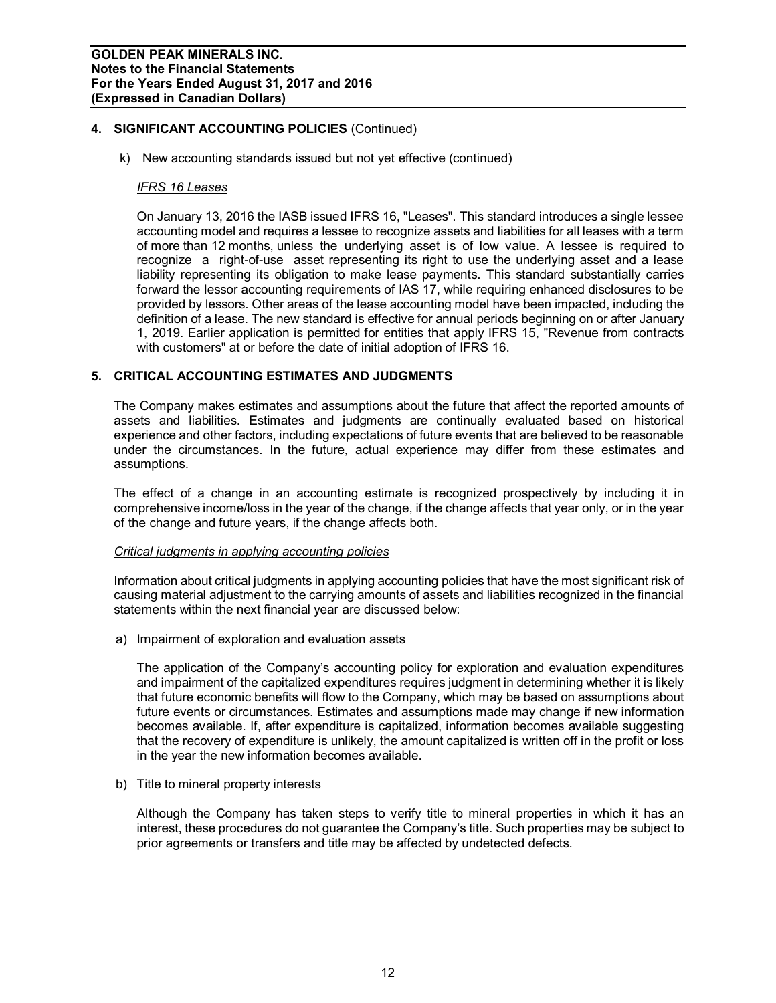k) New accounting standards issued but not yet effective (continued)

#### *IFRS 16 Leases*

On January 13, 2016 the IASB issued IFRS 16, "Leases". This standard introduces a single lessee accounting model and requires a lessee to recognize assets and liabilities for all leases with a term of more than 12 months, unless the underlying asset is of low value. A lessee is required to recognize a right-of-use asset representing its right to use the underlying asset and a lease liability representing its obligation to make lease payments. This standard substantially carries forward the lessor accounting requirements of IAS 17, while requiring enhanced disclosures to be provided by lessors. Other areas of the lease accounting model have been impacted, including the definition of a lease. The new standard is effective for annual periods beginning on or after January 1, 2019. Earlier application is permitted for entities that apply IFRS 15, "Revenue from contracts with customers" at or before the date of initial adoption of IFRS 16.

## **5. CRITICAL ACCOUNTING ESTIMATES AND JUDGMENTS**

The Company makes estimates and assumptions about the future that affect the reported amounts of assets and liabilities. Estimates and judgments are continually evaluated based on historical experience and other factors, including expectations of future events that are believed to be reasonable under the circumstances. In the future, actual experience may differ from these estimates and assumptions.

The effect of a change in an accounting estimate is recognized prospectively by including it in comprehensive income/loss in the year of the change, if the change affects that year only, or in the year of the change and future years, if the change affects both.

#### *Critical judgments in applying accounting policies*

Information about critical judgments in applying accounting policies that have the most significant risk of causing material adjustment to the carrying amounts of assets and liabilities recognized in the financial statements within the next financial year are discussed below:

a) Impairment of exploration and evaluation assets

The application of the Company's accounting policy for exploration and evaluation expenditures and impairment of the capitalized expenditures requires judgment in determining whether it is likely that future economic benefits will flow to the Company, which may be based on assumptions about future events or circumstances. Estimates and assumptions made may change if new information becomes available. If, after expenditure is capitalized, information becomes available suggesting that the recovery of expenditure is unlikely, the amount capitalized is written off in the profit or loss in the year the new information becomes available.

b) Title to mineral property interests

Although the Company has taken steps to verify title to mineral properties in which it has an interest, these procedures do not guarantee the Company's title. Such properties may be subject to prior agreements or transfers and title may be affected by undetected defects.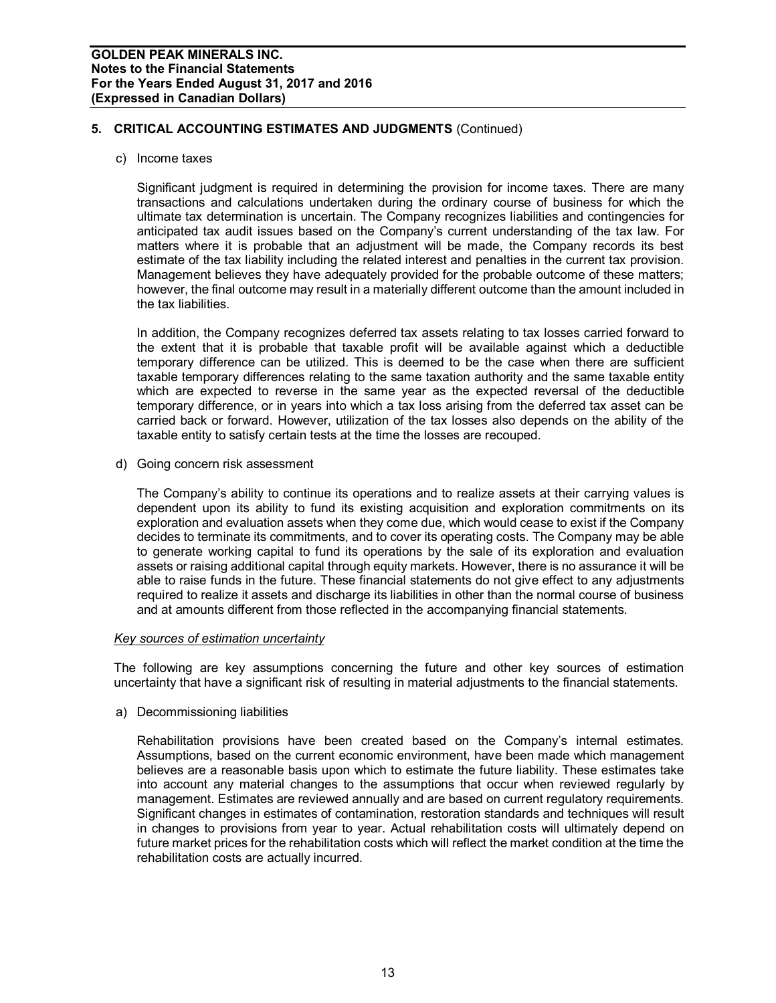## **5. CRITICAL ACCOUNTING ESTIMATES AND JUDGMENTS** (Continued)

c) Income taxes

Significant judgment is required in determining the provision for income taxes. There are many transactions and calculations undertaken during the ordinary course of business for which the ultimate tax determination is uncertain. The Company recognizes liabilities and contingencies for anticipated tax audit issues based on the Company's current understanding of the tax law. For matters where it is probable that an adjustment will be made, the Company records its best estimate of the tax liability including the related interest and penalties in the current tax provision. Management believes they have adequately provided for the probable outcome of these matters; however, the final outcome may result in a materially different outcome than the amount included in the tax liabilities.

In addition, the Company recognizes deferred tax assets relating to tax losses carried forward to the extent that it is probable that taxable profit will be available against which a deductible temporary difference can be utilized. This is deemed to be the case when there are sufficient taxable temporary differences relating to the same taxation authority and the same taxable entity which are expected to reverse in the same year as the expected reversal of the deductible temporary difference, or in years into which a tax loss arising from the deferred tax asset can be carried back or forward. However, utilization of the tax losses also depends on the ability of the taxable entity to satisfy certain tests at the time the losses are recouped.

d) Going concern risk assessment

The Company's ability to continue its operations and to realize assets at their carrying values is dependent upon its ability to fund its existing acquisition and exploration commitments on its exploration and evaluation assets when they come due, which would cease to exist if the Company decides to terminate its commitments, and to cover its operating costs. The Company may be able to generate working capital to fund its operations by the sale of its exploration and evaluation assets or raising additional capital through equity markets. However, there is no assurance it will be able to raise funds in the future. These financial statements do not give effect to any adjustments required to realize it assets and discharge its liabilities in other than the normal course of business and at amounts different from those reflected in the accompanying financial statements.

### *Key sources of estimation uncertainty*

The following are key assumptions concerning the future and other key sources of estimation uncertainty that have a significant risk of resulting in material adjustments to the financial statements.

a) Decommissioning liabilities

Rehabilitation provisions have been created based on the Company's internal estimates. Assumptions, based on the current economic environment, have been made which management believes are a reasonable basis upon which to estimate the future liability. These estimates take into account any material changes to the assumptions that occur when reviewed regularly by management. Estimates are reviewed annually and are based on current regulatory requirements. Significant changes in estimates of contamination, restoration standards and techniques will result in changes to provisions from year to year. Actual rehabilitation costs will ultimately depend on future market prices for the rehabilitation costs which will reflect the market condition at the time the rehabilitation costs are actually incurred.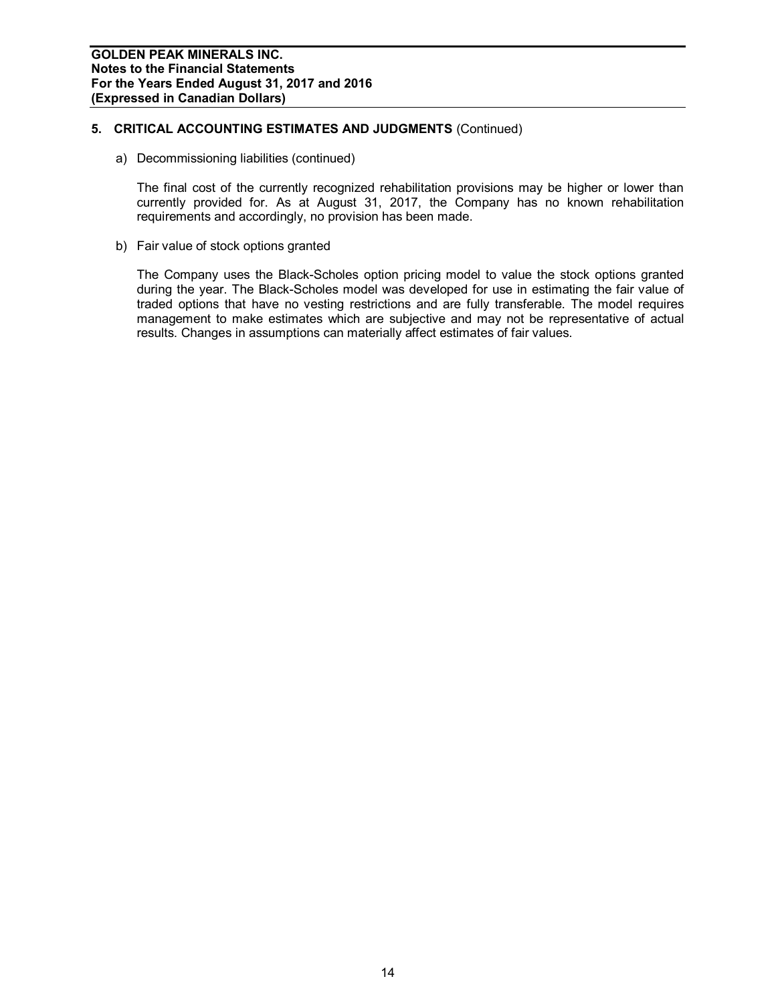# **5. CRITICAL ACCOUNTING ESTIMATES AND JUDGMENTS** (Continued)

a) Decommissioning liabilities (continued)

The final cost of the currently recognized rehabilitation provisions may be higher or lower than currently provided for. As at August 31, 2017, the Company has no known rehabilitation requirements and accordingly, no provision has been made.

b) Fair value of stock options granted

The Company uses the Black-Scholes option pricing model to value the stock options granted during the year. The Black-Scholes model was developed for use in estimating the fair value of traded options that have no vesting restrictions and are fully transferable. The model requires management to make estimates which are subjective and may not be representative of actual results. Changes in assumptions can materially affect estimates of fair values.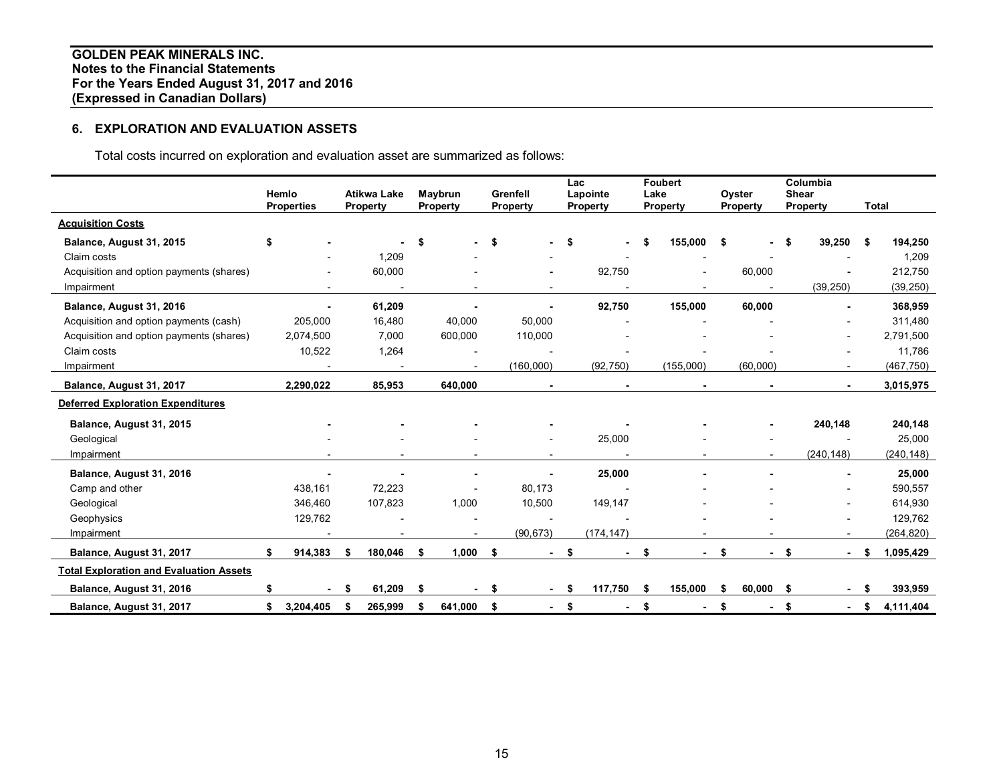# **6. EXPLORATION AND EVALUATION ASSETS**

Total costs incurred on exploration and evaluation asset are summarized as follows:

|                                                | Hemlo             |    | <b>Atikwa Lake</b>       | Maybrun       | Grenfell                 | Lac  | Lapointe        | Lake | <b>Foubert</b> |    | Oyster         | <b>Shear</b> | Columbia                 |              |            |
|------------------------------------------------|-------------------|----|--------------------------|---------------|--------------------------|------|-----------------|------|----------------|----|----------------|--------------|--------------------------|--------------|------------|
|                                                | <b>Properties</b> |    | Property                 | Property      | Property                 |      | <b>Property</b> |      | Property       |    | Property       |              | Property                 | <b>Total</b> |            |
| <b>Acquisition Costs</b>                       |                   |    |                          |               |                          |      |                 |      |                |    |                |              |                          |              |            |
| Balance, August 31, 2015                       | \$                |    |                          | \$            | \$                       | -\$  |                 |      | 155,000        | -S |                |              | 39,250                   | - \$         | 194,250    |
| Claim costs                                    |                   |    | 1,209                    |               |                          |      |                 |      |                |    |                |              |                          |              | 1,209      |
| Acquisition and option payments (shares)       |                   |    | 60,000                   |               |                          |      | 92,750          |      |                |    | 60,000         |              |                          |              | 212,750    |
| Impairment                                     |                   |    | $\overline{\phantom{a}}$ |               | $\overline{\phantom{a}}$ |      |                 |      |                |    |                |              | (39, 250)                |              | (39, 250)  |
| Balance, August 31, 2016                       |                   | ÷  | 61,209                   |               |                          |      | 92,750          |      | 155,000        |    | 60,000         |              | $\blacksquare$           |              | 368,959    |
| Acquisition and option payments (cash)         | 205,000           |    | 16,480                   | 40,000        | 50,000                   |      |                 |      |                |    |                |              |                          |              | 311,480    |
| Acquisition and option payments (shares)       | 2,074,500         |    | 7,000                    | 600,000       | 110,000                  |      |                 |      |                |    |                |              |                          |              | 2,791,500  |
| Claim costs                                    | 10,522            |    | 1,264                    |               |                          |      |                 |      |                |    |                |              |                          |              | 11,786     |
| Impairment                                     |                   |    |                          |               | (160,000)                |      | (92, 750)       |      | (155,000)      |    | (60,000)       |              |                          |              | (467, 750) |
| Balance, August 31, 2017                       | 2,290,022         |    | 85,953                   | 640,000       |                          |      |                 |      |                |    |                |              | $\blacksquare$           |              | 3,015,975  |
| <b>Deferred Exploration Expenditures</b>       |                   |    |                          |               |                          |      |                 |      |                |    |                |              |                          |              |            |
| Balance, August 31, 2015                       |                   |    |                          |               |                          |      |                 |      |                |    |                |              | 240,148                  |              | 240,148    |
| Geological                                     |                   |    |                          |               |                          |      | 25,000          |      |                |    |                |              |                          |              | 25,000     |
| Impairment                                     |                   |    |                          |               |                          |      |                 |      |                |    |                |              | (240, 148)               |              | (240, 148) |
| Balance, August 31, 2016                       |                   |    |                          |               |                          |      | 25,000          |      |                |    |                |              |                          |              | 25,000     |
| Camp and other                                 | 438,161           |    | 72,223                   |               | 80,173                   |      |                 |      |                |    |                |              |                          |              | 590,557    |
| Geological                                     | 346,460           |    | 107,823                  | 1,000         | 10,500                   |      | 149,147         |      |                |    |                |              |                          |              | 614,930    |
| Geophysics                                     | 129,762           |    |                          |               |                          |      |                 |      |                |    |                |              | $\overline{\phantom{a}}$ |              | 129,762    |
| Impairment                                     |                   |    |                          |               | (90, 673)                |      | (174, 147)      |      |                |    |                |              |                          |              | (264, 820) |
| Balance, August 31, 2017                       | \$<br>914,383     | S  | 180,046                  | \$<br>1,000   | \$                       | $-5$ | $\sim$          | \$   | $\blacksquare$ | Ŝ. | $\blacksquare$ | \$           | $\blacksquare$           | - \$         | 1,095,429  |
| <b>Total Exploration and Evaluation Assets</b> |                   |    |                          |               |                          |      |                 |      |                |    |                |              |                          |              |            |
| Balance, August 31, 2016                       | \$                | Ŝ. | 61,209                   | \$            | \$<br>$\sim$             | -S   | 117,750         | \$   | 155,000        | £. | 60,000         | \$           | $\blacksquare$           | Ŝ.           | 393,959    |
| Balance, August 31, 2017                       | 3,204,405<br>\$   | \$ | 265,999                  | \$<br>641,000 | \$                       | $-5$ |                 | \$   |                | \$ | ٠              | \$           | $\blacksquare$           | \$           | 4,111,404  |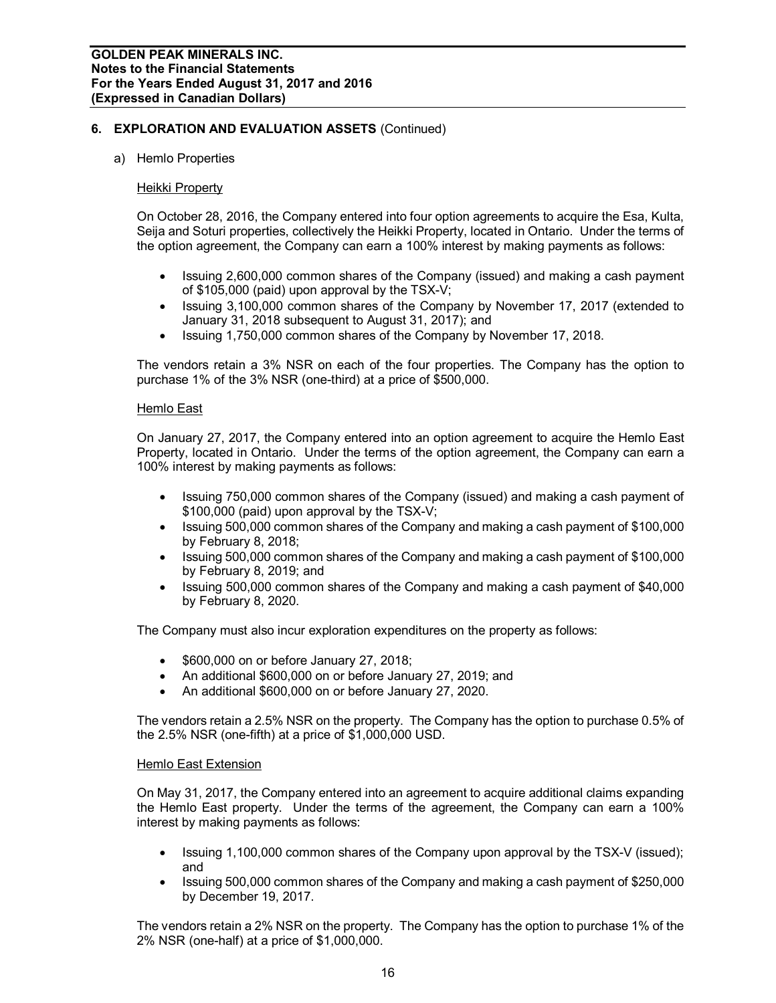### a) Hemlo Properties

#### Heikki Property

On October 28, 2016, the Company entered into four option agreements to acquire the Esa, Kulta, Seija and Soturi properties, collectively the Heikki Property, located in Ontario. Under the terms of the option agreement, the Company can earn a 100% interest by making payments as follows:

- · Issuing 2,600,000 common shares of the Company (issued) and making a cash payment of \$105,000 (paid) upon approval by the TSX-V;
- · Issuing 3,100,000 common shares of the Company by November 17, 2017 (extended to January 31, 2018 subsequent to August 31, 2017); and
- · Issuing 1,750,000 common shares of the Company by November 17, 2018.

The vendors retain a 3% NSR on each of the four properties. The Company has the option to purchase 1% of the 3% NSR (one-third) at a price of \$500,000.

#### Hemlo East

On January 27, 2017, the Company entered into an option agreement to acquire the Hemlo East Property, located in Ontario. Under the terms of the option agreement, the Company can earn a 100% interest by making payments as follows:

- · Issuing 750,000 common shares of the Company (issued) and making a cash payment of \$100,000 (paid) upon approval by the TSX-V;
- · Issuing 500,000 common shares of the Company and making a cash payment of \$100,000 by February 8, 2018;
- · Issuing 500,000 common shares of the Company and making a cash payment of \$100,000 by February 8, 2019; and
- · Issuing 500,000 common shares of the Company and making a cash payment of \$40,000 by February 8, 2020.

The Company must also incur exploration expenditures on the property as follows:

- · \$600,000 on or before January 27, 2018;
- · An additional \$600,000 on or before January 27, 2019; and
- · An additional \$600,000 on or before January 27, 2020.

The vendors retain a 2.5% NSR on the property. The Company has the option to purchase 0.5% of the 2.5% NSR (one-fifth) at a price of \$1,000,000 USD.

#### Hemlo East Extension

On May 31, 2017, the Company entered into an agreement to acquire additional claims expanding the Hemlo East property. Under the terms of the agreement, the Company can earn a 100% interest by making payments as follows:

- Issuing 1,100,000 common shares of the Company upon approval by the TSX-V (issued): and
- · Issuing 500,000 common shares of the Company and making a cash payment of \$250,000 by December 19, 2017.

The vendors retain a 2% NSR on the property. The Company has the option to purchase 1% of the 2% NSR (one-half) at a price of \$1,000,000.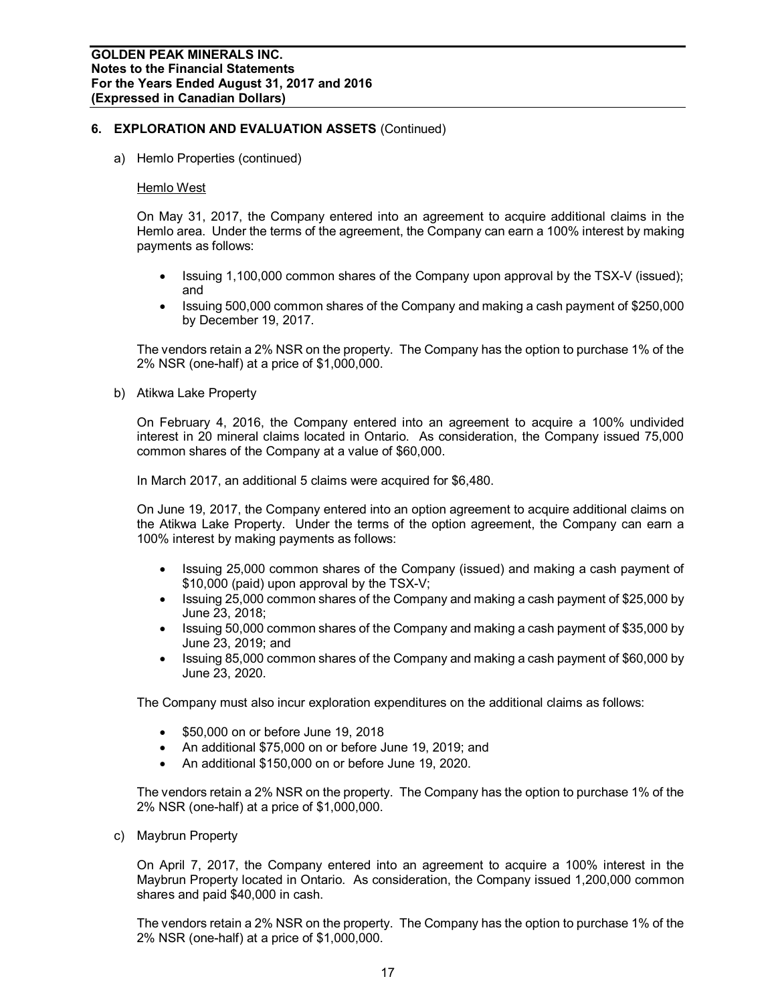a) Hemlo Properties (continued)

#### Hemlo West

On May 31, 2017, the Company entered into an agreement to acquire additional claims in the Hemlo area. Under the terms of the agreement, the Company can earn a 100% interest by making payments as follows:

- Issuing 1,100,000 common shares of the Company upon approval by the TSX-V (issued); and
- · Issuing 500,000 common shares of the Company and making a cash payment of \$250,000 by December 19, 2017.

The vendors retain a 2% NSR on the property. The Company has the option to purchase 1% of the 2% NSR (one-half) at a price of \$1,000,000.

b) Atikwa Lake Property

On February 4, 2016, the Company entered into an agreement to acquire a 100% undivided interest in 20 mineral claims located in Ontario. As consideration, the Company issued 75,000 common shares of the Company at a value of \$60,000.

In March 2017, an additional 5 claims were acquired for \$6,480.

On June 19, 2017, the Company entered into an option agreement to acquire additional claims on the Atikwa Lake Property. Under the terms of the option agreement, the Company can earn a 100% interest by making payments as follows:

- · Issuing 25,000 common shares of the Company (issued) and making a cash payment of \$10,000 (paid) upon approval by the TSX-V;
- · Issuing 25,000 common shares of the Company and making a cash payment of \$25,000 by June 23, 2018;
- · Issuing 50,000 common shares of the Company and making a cash payment of \$35,000 by June 23, 2019; and
- · Issuing 85,000 common shares of the Company and making a cash payment of \$60,000 by June 23, 2020.

The Company must also incur exploration expenditures on the additional claims as follows:

- · \$50,000 on or before June 19, 2018
- · An additional \$75,000 on or before June 19, 2019; and
- · An additional \$150,000 on or before June 19, 2020.

The vendors retain a 2% NSR on the property. The Company has the option to purchase 1% of the 2% NSR (one-half) at a price of \$1,000,000.

c) Maybrun Property

On April 7, 2017, the Company entered into an agreement to acquire a 100% interest in the Maybrun Property located in Ontario. As consideration, the Company issued 1,200,000 common shares and paid \$40,000 in cash.

The vendors retain a 2% NSR on the property. The Company has the option to purchase 1% of the 2% NSR (one-half) at a price of \$1,000,000.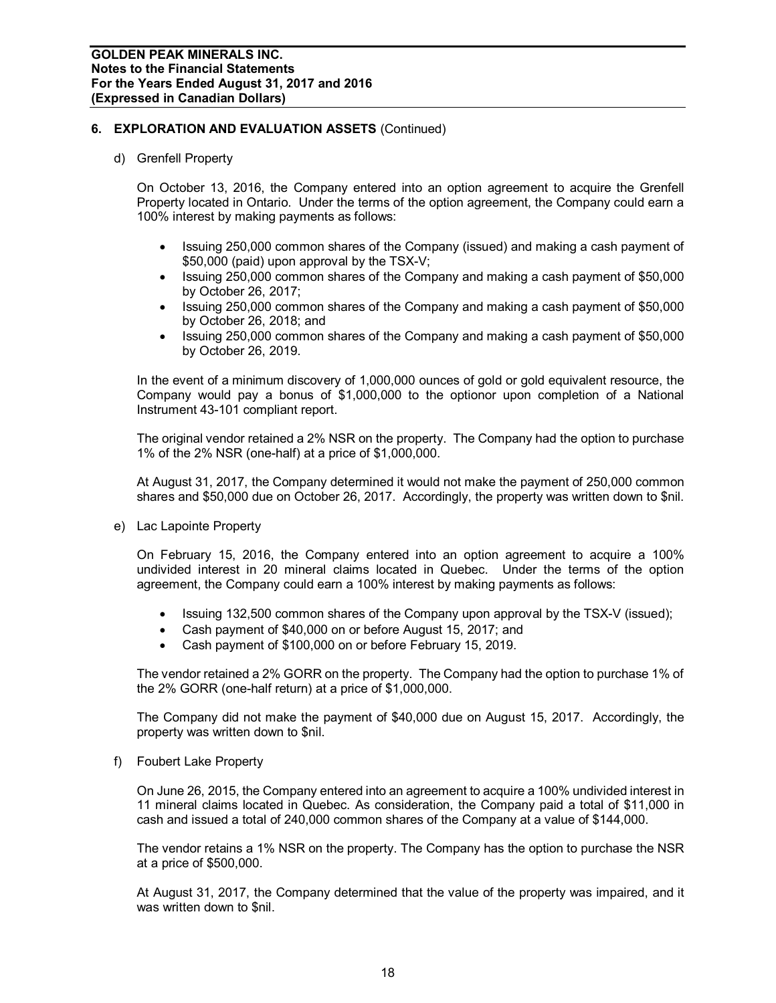#### d) Grenfell Property

On October 13, 2016, the Company entered into an option agreement to acquire the Grenfell Property located in Ontario. Under the terms of the option agreement, the Company could earn a 100% interest by making payments as follows:

- · Issuing 250,000 common shares of the Company (issued) and making a cash payment of \$50,000 (paid) upon approval by the TSX-V;
- · Issuing 250,000 common shares of the Company and making a cash payment of \$50,000 by October 26, 2017;
- · Issuing 250,000 common shares of the Company and making a cash payment of \$50,000 by October 26, 2018; and
- · Issuing 250,000 common shares of the Company and making a cash payment of \$50,000 by October 26, 2019.

In the event of a minimum discovery of 1,000,000 ounces of gold or gold equivalent resource, the Company would pay a bonus of \$1,000,000 to the optionor upon completion of a National Instrument 43-101 compliant report.

The original vendor retained a 2% NSR on the property. The Company had the option to purchase 1% of the 2% NSR (one-half) at a price of \$1,000,000.

At August 31, 2017, the Company determined it would not make the payment of 250,000 common shares and \$50,000 due on October 26, 2017. Accordingly, the property was written down to \$nil.

e) Lac Lapointe Property

On February 15, 2016, the Company entered into an option agreement to acquire a 100% undivided interest in 20 mineral claims located in Quebec. Under the terms of the option agreement, the Company could earn a 100% interest by making payments as follows:

- · Issuing 132,500 common shares of the Company upon approval by the TSX-V (issued);
- Cash payment of \$40,000 on or before August 15, 2017; and
- · Cash payment of \$100,000 on or before February 15, 2019.

The vendor retained a 2% GORR on the property. The Company had the option to purchase 1% of the 2% GORR (one-half return) at a price of \$1,000,000.

The Company did not make the payment of \$40,000 due on August 15, 2017. Accordingly, the property was written down to \$nil.

f) Foubert Lake Property

On June 26, 2015, the Company entered into an agreement to acquire a 100% undivided interest in 11 mineral claims located in Quebec. As consideration, the Company paid a total of \$11,000 in cash and issued a total of 240,000 common shares of the Company at a value of \$144,000.

The vendor retains a 1% NSR on the property. The Company has the option to purchase the NSR at a price of \$500,000.

At August 31, 2017, the Company determined that the value of the property was impaired, and it was written down to \$nil.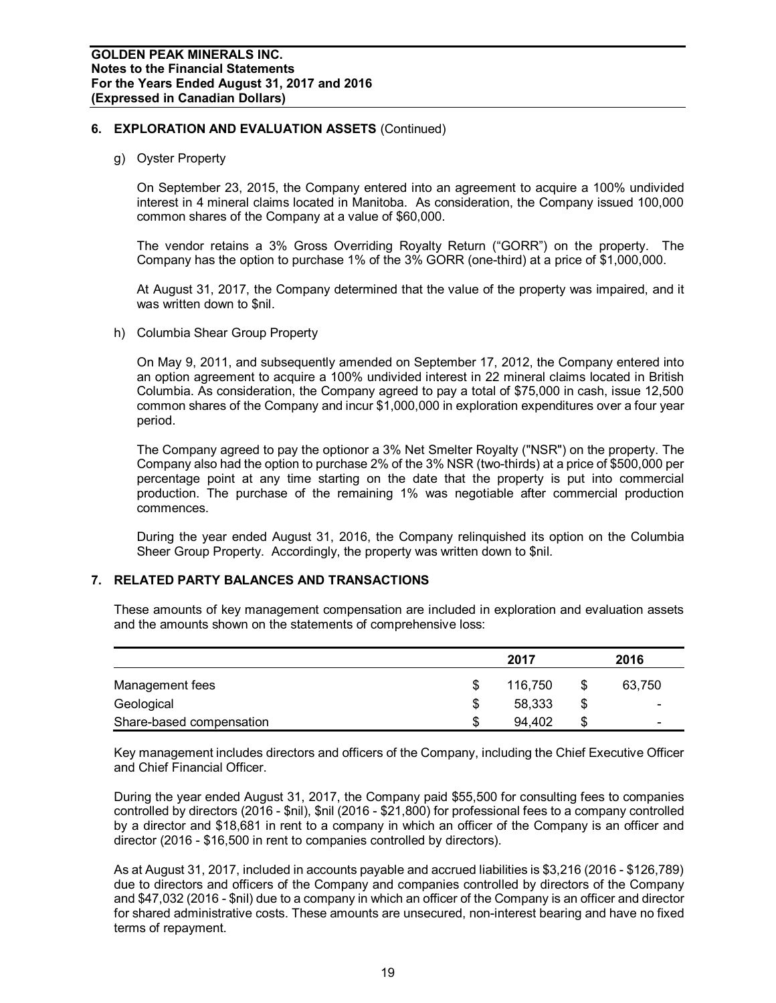g) Oyster Property

On September 23, 2015, the Company entered into an agreement to acquire a 100% undivided interest in 4 mineral claims located in Manitoba. As consideration, the Company issued 100,000 common shares of the Company at a value of \$60,000.

The vendor retains a 3% Gross Overriding Royalty Return ("GORR") on the property. The Company has the option to purchase 1% of the 3% GORR (one-third) at a price of \$1,000,000.

At August 31, 2017, the Company determined that the value of the property was impaired, and it was written down to \$nil.

h) Columbia Shear Group Property

On May 9, 2011, and subsequently amended on September 17, 2012, the Company entered into an option agreement to acquire a 100% undivided interest in 22 mineral claims located in British Columbia. As consideration, the Company agreed to pay a total of \$75,000 in cash, issue 12,500 common shares of the Company and incur \$1,000,000 in exploration expenditures over a four year period.

The Company agreed to pay the optionor a 3% Net Smelter Royalty ("NSR") on the property. The Company also had the option to purchase 2% of the 3% NSR (two-thirds) at a price of \$500,000 per percentage point at any time starting on the date that the property is put into commercial production. The purchase of the remaining 1% was negotiable after commercial production commences.

During the year ended August 31, 2016, the Company relinquished its option on the Columbia Sheer Group Property. Accordingly, the property was written down to \$nil.

## **7. RELATED PARTY BALANCES AND TRANSACTIONS**

These amounts of key management compensation are included in exploration and evaluation assets and the amounts shown on the statements of comprehensive loss:

|                          |   | 2017    | 2016                           |
|--------------------------|---|---------|--------------------------------|
| Management fees          | S | 116.750 | \$<br>63,750                   |
| Geological               | S | 58,333  | \$<br>$\overline{\phantom{a}}$ |
| Share-based compensation | S | 94.402  | $\overline{\phantom{0}}$       |

Key management includes directors and officers of the Company, including the Chief Executive Officer and Chief Financial Officer.

During the year ended August 31, 2017, the Company paid \$55,500 for consulting fees to companies controlled by directors (2016 - \$nil), \$nil (2016 - \$21,800) for professional fees to a company controlled by a director and \$18,681 in rent to a company in which an officer of the Company is an officer and director (2016 - \$16,500 in rent to companies controlled by directors).

As at August 31, 2017, included in accounts payable and accrued liabilities is \$3,216 (2016 - \$126,789) due to directors and officers of the Company and companies controlled by directors of the Company and \$47,032 (2016 - \$nil) due to a company in which an officer of the Company is an officer and director for shared administrative costs. These amounts are unsecured, non-interest bearing and have no fixed terms of repayment.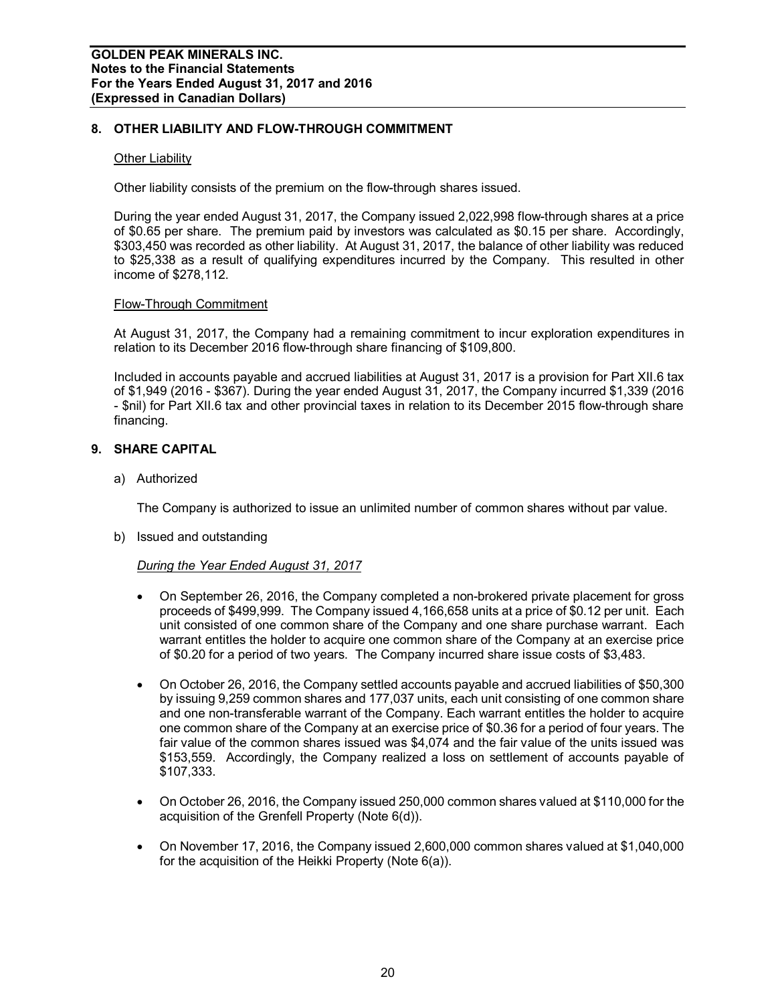## **8. OTHER LIABILITY AND FLOW-THROUGH COMMITMENT**

### Other Liability

Other liability consists of the premium on the flow-through shares issued.

During the year ended August 31, 2017, the Company issued 2,022,998 flow-through shares at a price of \$0.65 per share. The premium paid by investors was calculated as \$0.15 per share. Accordingly, \$303,450 was recorded as other liability. At August 31, 2017, the balance of other liability was reduced to \$25,338 as a result of qualifying expenditures incurred by the Company. This resulted in other income of \$278,112.

## Flow-Through Commitment

At August 31, 2017, the Company had a remaining commitment to incur exploration expenditures in relation to its December 2016 flow-through share financing of \$109,800.

Included in accounts payable and accrued liabilities at August 31, 2017 is a provision for Part XII.6 tax of \$1,949 (2016 - \$367). During the year ended August 31, 2017, the Company incurred \$1,339 (2016 - \$nil) for Part XII.6 tax and other provincial taxes in relation to its December 2015 flow-through share financing.

## **9. SHARE CAPITAL**

a) Authorized

The Company is authorized to issue an unlimited number of common shares without par value.

b) Issued and outstanding

### *During the Year Ended August 31, 2017*

- · On September 26, 2016, the Company completed a non-brokered private placement for gross proceeds of \$499,999. The Company issued 4,166,658 units at a price of \$0.12 per unit. Each unit consisted of one common share of the Company and one share purchase warrant. Each warrant entitles the holder to acquire one common share of the Company at an exercise price of \$0.20 for a period of two years. The Company incurred share issue costs of \$3,483.
- · On October 26, 2016, the Company settled accounts payable and accrued liabilities of \$50,300 by issuing 9,259 common shares and 177,037 units, each unit consisting of one common share and one non-transferable warrant of the Company. Each warrant entitles the holder to acquire one common share of the Company at an exercise price of \$0.36 for a period of four years. The fair value of the common shares issued was \$4,074 and the fair value of the units issued was \$153,559. Accordingly, the Company realized a loss on settlement of accounts payable of \$107,333.
- · On October 26, 2016, the Company issued 250,000 common shares valued at \$110,000 for the acquisition of the Grenfell Property (Note 6(d)).
- · On November 17, 2016, the Company issued 2,600,000 common shares valued at \$1,040,000 for the acquisition of the Heikki Property (Note 6(a)).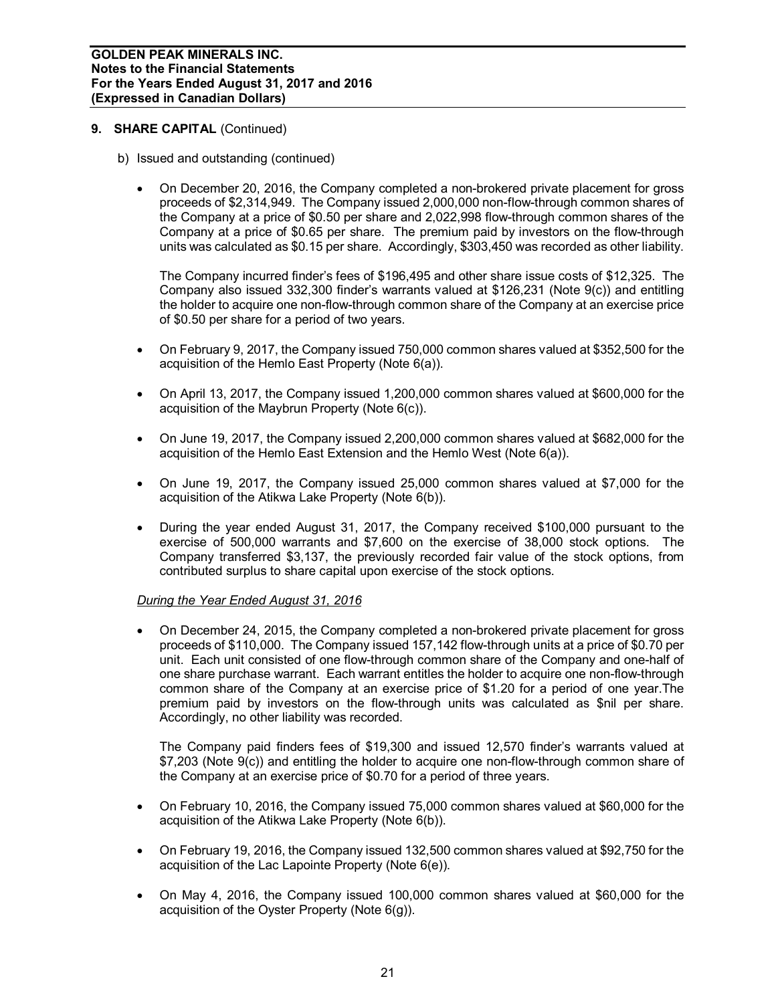- b) Issued and outstanding (continued)
	- · On December 20, 2016, the Company completed a non-brokered private placement for gross proceeds of \$2,314,949. The Company issued 2,000,000 non-flow-through common shares of the Company at a price of \$0.50 per share and 2,022,998 flow-through common shares of the Company at a price of \$0.65 per share. The premium paid by investors on the flow-through units was calculated as \$0.15 per share. Accordingly, \$303,450 was recorded as other liability.

The Company incurred finder's fees of \$196,495 and other share issue costs of \$12,325. The Company also issued 332,300 finder's warrants valued at \$126,231 (Note 9(c)) and entitling the holder to acquire one non-flow-through common share of the Company at an exercise price of \$0.50 per share for a period of two years.

- · On February 9, 2017, the Company issued 750,000 common shares valued at \$352,500 for the acquisition of the Hemlo East Property (Note 6(a)).
- · On April 13, 2017, the Company issued 1,200,000 common shares valued at \$600,000 for the acquisition of the Maybrun Property (Note 6(c)).
- · On June 19, 2017, the Company issued 2,200,000 common shares valued at \$682,000 for the acquisition of the Hemlo East Extension and the Hemlo West (Note 6(a)).
- · On June 19, 2017, the Company issued 25,000 common shares valued at \$7,000 for the acquisition of the Atikwa Lake Property (Note 6(b)).
- · During the year ended August 31, 2017, the Company received \$100,000 pursuant to the exercise of 500,000 warrants and \$7,600 on the exercise of 38,000 stock options. The Company transferred \$3,137, the previously recorded fair value of the stock options, from contributed surplus to share capital upon exercise of the stock options.

### *During the Year Ended August 31, 2016*

· On December 24, 2015, the Company completed a non-brokered private placement for gross proceeds of \$110,000. The Company issued 157,142 flow-through units at a price of \$0.70 per unit. Each unit consisted of one flow-through common share of the Company and one-half of one share purchase warrant. Each warrant entitles the holder to acquire one non-flow-through common share of the Company at an exercise price of \$1.20 for a period of one year.The premium paid by investors on the flow-through units was calculated as \$nil per share. Accordingly, no other liability was recorded.

The Company paid finders fees of \$19,300 and issued 12,570 finder's warrants valued at \$7,203 (Note 9(c)) and entitling the holder to acquire one non-flow-through common share of the Company at an exercise price of \$0.70 for a period of three years.

- · On February 10, 2016, the Company issued 75,000 common shares valued at \$60,000 for the acquisition of the Atikwa Lake Property (Note 6(b)).
- · On February 19, 2016, the Company issued 132,500 common shares valued at \$92,750 for the acquisition of the Lac Lapointe Property (Note 6(e)).
- · On May 4, 2016, the Company issued 100,000 common shares valued at \$60,000 for the acquisition of the Oyster Property (Note 6(g)).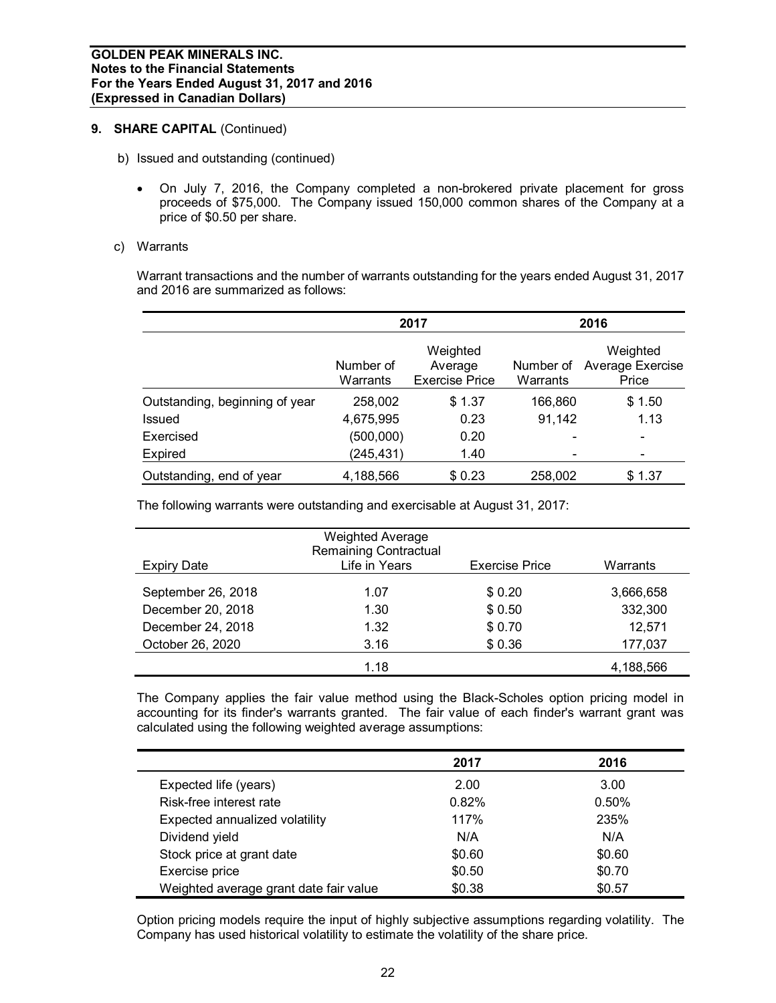- b) Issued and outstanding (continued)
	- · On July 7, 2016, the Company completed a non-brokered private placement for gross proceeds of \$75,000. The Company issued 150,000 common shares of the Company at a price of \$0.50 per share.
- c) Warrants

Warrant transactions and the number of warrants outstanding for the years ended August 31, 2017 and 2016 are summarized as follows:

|                                |                       | 2017                                         | 2016                  |                                       |  |  |
|--------------------------------|-----------------------|----------------------------------------------|-----------------------|---------------------------------------|--|--|
|                                | Number of<br>Warrants | Weighted<br>Average<br><b>Exercise Price</b> | Number of<br>Warrants | Weighted<br>Average Exercise<br>Price |  |  |
| Outstanding, beginning of year | 258,002               | \$1.37                                       | 166.860               | \$1.50                                |  |  |
| Issued                         | 4,675,995             | 0.23                                         | 91,142                | 1.13                                  |  |  |
| Exercised                      | (500,000)             | 0.20                                         |                       |                                       |  |  |
| Expired                        | (245, 431)            | 1.40                                         | $\,$                  |                                       |  |  |
| Outstanding, end of year       | 4,188,566             | \$0.23                                       | 258,002               | \$1.37                                |  |  |

The following warrants were outstanding and exercisable at August 31, 2017:

| Expiry Date        | <b>Weighted Average</b><br><b>Remaining Contractual</b><br>Life in Years | <b>Exercise Price</b> | Warrants  |
|--------------------|--------------------------------------------------------------------------|-----------------------|-----------|
| September 26, 2018 | 1.07                                                                     | \$ 0.20               | 3,666,658 |
| December 20, 2018  | 1.30                                                                     | \$ 0.50               | 332,300   |
| December 24, 2018  | 1.32                                                                     | \$0.70                | 12,571    |
| October 26, 2020   | 3.16                                                                     | \$0.36                | 177,037   |
|                    | 1.18                                                                     |                       | 4,188,566 |

The Company applies the fair value method using the Black-Scholes option pricing model in accounting for its finder's warrants granted. The fair value of each finder's warrant grant was calculated using the following weighted average assumptions:

|                                        | 2017   | 2016   |
|----------------------------------------|--------|--------|
| Expected life (years)                  | 2.00   | 3.00   |
| Risk-free interest rate                | 0.82%  | 0.50%  |
| Expected annualized volatility         | 117%   | 235%   |
| Dividend yield                         | N/A    | N/A    |
| Stock price at grant date              | \$0.60 | \$0.60 |
| Exercise price                         | \$0.50 | \$0.70 |
| Weighted average grant date fair value | \$0.38 | \$0.57 |

Option pricing models require the input of highly subjective assumptions regarding volatility. The Company has used historical volatility to estimate the volatility of the share price.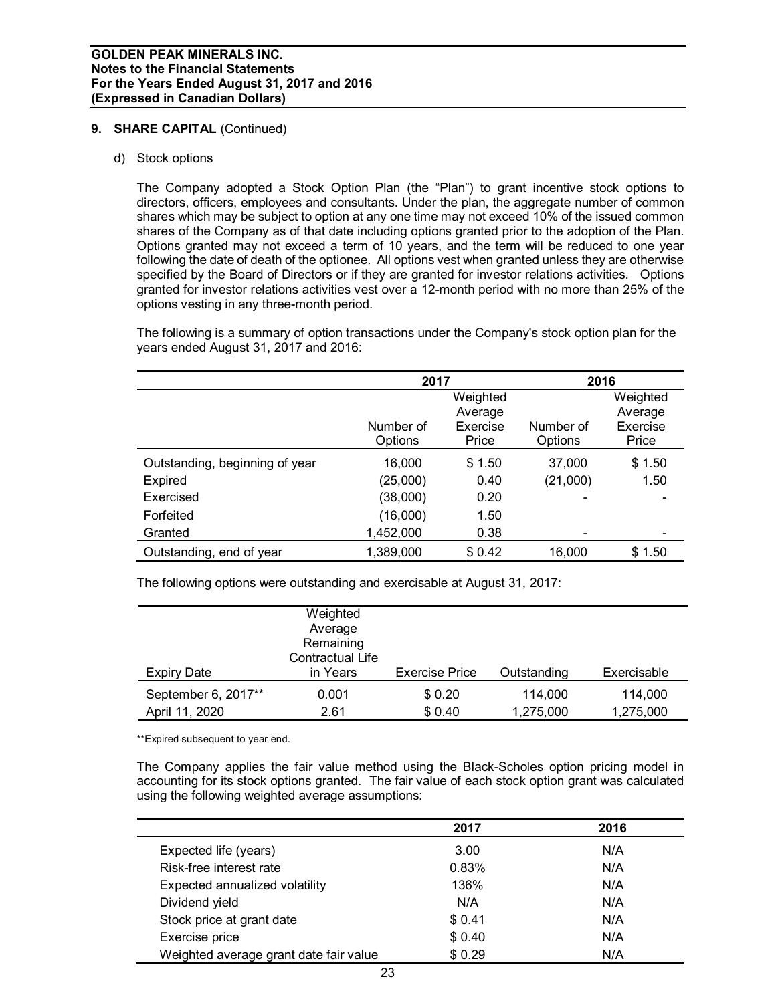d) Stock options

The Company adopted a Stock Option Plan (the "Plan") to grant incentive stock options to directors, officers, employees and consultants. Under the plan, the aggregate number of common shares which may be subject to option at any one time may not exceed 10% of the issued common shares of the Company as of that date including options granted prior to the adoption of the Plan. Options granted may not exceed a term of 10 years, and the term will be reduced to one year following the date of death of the optionee. All options vest when granted unless they are otherwise specified by the Board of Directors or if they are granted for investor relations activities. Options granted for investor relations activities vest over a 12-month period with no more than 25% of the options vesting in any three-month period.

The following is a summary of option transactions under the Company's stock option plan for the years ended August 31, 2017 and 2016:

|                                | 2017      |          | 2016      |          |  |
|--------------------------------|-----------|----------|-----------|----------|--|
|                                |           | Weighted |           | Weighted |  |
|                                |           | Average  |           | Average  |  |
|                                | Number of | Exercise | Number of | Exercise |  |
|                                | Options   | Price    | Options   | Price    |  |
| Outstanding, beginning of year | 16,000    | \$1.50   | 37,000    | \$1.50   |  |
| Expired                        | (25,000)  | 0.40     | (21,000)  | 1.50     |  |
| Exercised                      | (38,000)  | 0.20     |           |          |  |
| Forfeited                      | (16,000)  | 1.50     |           |          |  |
| Granted                        | 1,452,000 | 0.38     |           |          |  |
| Outstanding, end of year       | 1,389,000 | \$0.42   | 16,000    | \$1.50   |  |

The following options were outstanding and exercisable at August 31, 2017:

| Expiry Date         | Weighted<br>Average<br>Remaining<br>Contractual Life<br>in Years | <b>Exercise Price</b> | Outstanding | Exercisable |
|---------------------|------------------------------------------------------------------|-----------------------|-------------|-------------|
| September 6, 2017** | 0.001                                                            | \$0.20                | 114,000     | 114,000     |
| April 11, 2020      | 2.61                                                             | \$0.40                | 1,275,000   | 1,275,000   |

\*\*Expired subsequent to year end.

The Company applies the fair value method using the Black-Scholes option pricing model in accounting for its stock options granted. The fair value of each stock option grant was calculated using the following weighted average assumptions:

|                                        | 2017   | 2016 |
|----------------------------------------|--------|------|
| Expected life (years)                  | 3.00   | N/A  |
| Risk-free interest rate                | 0.83%  | N/A  |
| Expected annualized volatility         | 136%   | N/A  |
| Dividend yield                         | N/A    | N/A  |
| Stock price at grant date              | \$0.41 | N/A  |
| Exercise price                         | \$0.40 | N/A  |
| Weighted average grant date fair value | \$0.29 | N/A  |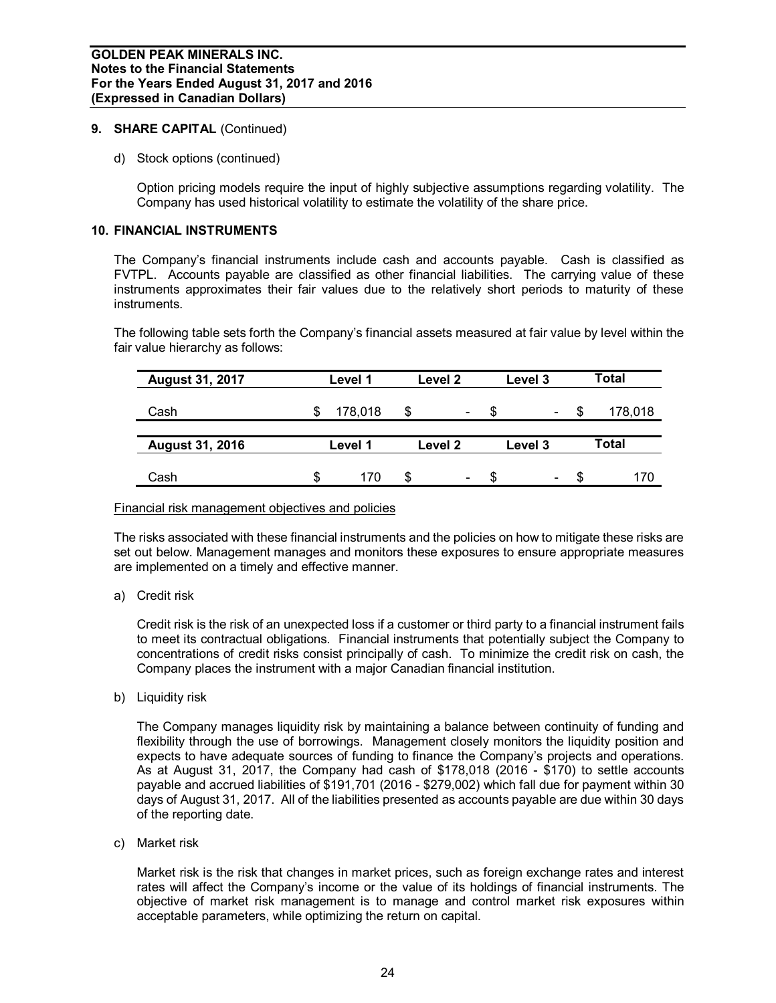d) Stock options (continued)

Option pricing models require the input of highly subjective assumptions regarding volatility. The Company has used historical volatility to estimate the volatility of the share price.

## **10. FINANCIAL INSTRUMENTS**

The Company's financial instruments include cash and accounts payable. Cash is classified as FVTPL. Accounts payable are classified as other financial liabilities. The carrying value of these instruments approximates their fair values due to the relatively short periods to maturity of these instruments.

The following table sets forth the Company's financial assets measured at fair value by level within the fair value hierarchy as follows:

| August 31, 2017        |         | Level 1 |         | Level 2 |         | Level 3                      |       | Total   |
|------------------------|---------|---------|---------|---------|---------|------------------------------|-------|---------|
| Cash                   |         | 178,018 | \$      | $\,$    | S       | $\qquad \qquad \blacksquare$ | 26    | 178,018 |
| <b>August 31, 2016</b> | Level 1 |         | Level 2 |         | Level 3 |                              | Total |         |
| Cash                   | S       | 170     | \$      | $\,$    | S       | $\overline{\phantom{a}}$     | \$.   | 170     |

### Financial risk management objectives and policies

The risks associated with these financial instruments and the policies on how to mitigate these risks are set out below. Management manages and monitors these exposures to ensure appropriate measures are implemented on a timely and effective manner.

a) Credit risk

Credit risk is the risk of an unexpected loss if a customer or third party to a financial instrument fails to meet its contractual obligations. Financial instruments that potentially subject the Company to concentrations of credit risks consist principally of cash. To minimize the credit risk on cash, the Company places the instrument with a major Canadian financial institution.

b) Liquidity risk

The Company manages liquidity risk by maintaining a balance between continuity of funding and flexibility through the use of borrowings. Management closely monitors the liquidity position and expects to have adequate sources of funding to finance the Company's projects and operations. As at August 31, 2017, the Company had cash of \$178,018 (2016 - \$170) to settle accounts payable and accrued liabilities of \$191,701 (2016 - \$279,002) which fall due for payment within 30 days of August 31, 2017. All of the liabilities presented as accounts payable are due within 30 days of the reporting date.

c) Market risk

Market risk is the risk that changes in market prices, such as foreign exchange rates and interest rates will affect the Company's income or the value of its holdings of financial instruments. The objective of market risk management is to manage and control market risk exposures within acceptable parameters, while optimizing the return on capital.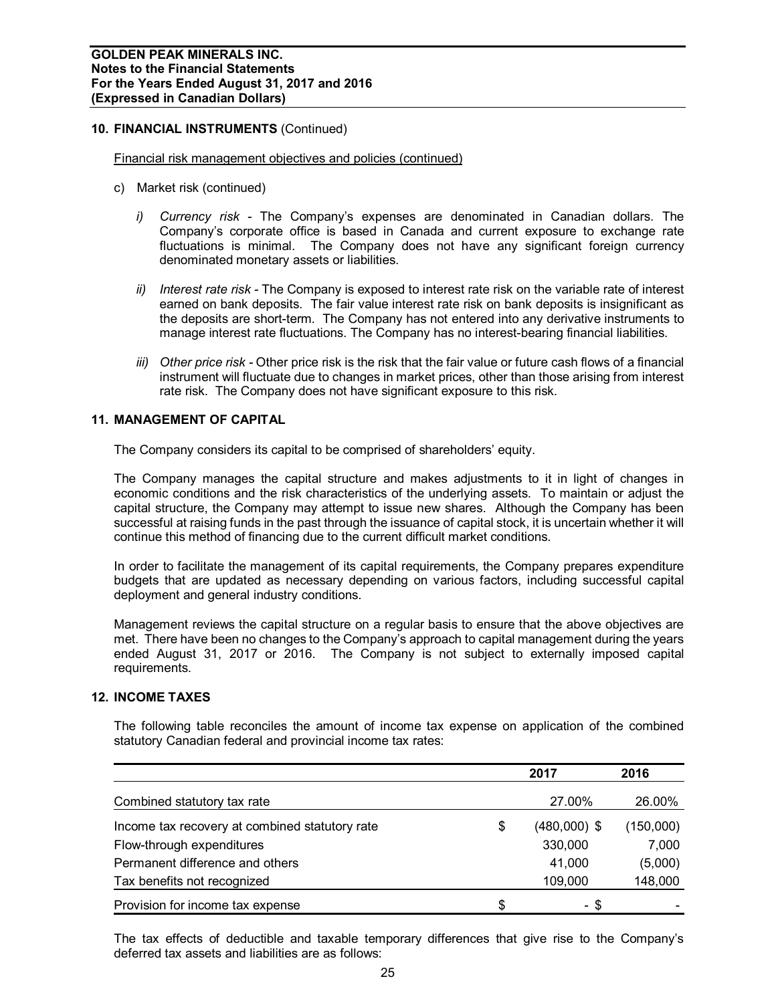### **10. FINANCIAL INSTRUMENTS** (Continued)

#### Financial risk management objectives and policies (continued)

- c) Market risk (continued)
	- *i) Currency risk -* The Company's expenses are denominated in Canadian dollars. The Company's corporate office is based in Canada and current exposure to exchange rate fluctuations is minimal. The Company does not have any significant foreign currency denominated monetary assets or liabilities.
	- *ii) Interest rate risk -* The Company is exposed to interest rate risk on the variable rate of interest earned on bank deposits. The fair value interest rate risk on bank deposits is insignificant as the deposits are short-term. The Company has not entered into any derivative instruments to manage interest rate fluctuations. The Company has no interest-bearing financial liabilities.
	- *iii) Other price risk -* Other price risk is the risk that the fair value or future cash flows of a financial instrument will fluctuate due to changes in market prices, other than those arising from interest rate risk. The Company does not have significant exposure to this risk.

## **11. MANAGEMENT OF CAPITAL**

The Company considers its capital to be comprised of shareholders' equity.

The Company manages the capital structure and makes adjustments to it in light of changes in economic conditions and the risk characteristics of the underlying assets. To maintain or adjust the capital structure, the Company may attempt to issue new shares. Although the Company has been successful at raising funds in the past through the issuance of capital stock, it is uncertain whether it will continue this method of financing due to the current difficult market conditions.

In order to facilitate the management of its capital requirements, the Company prepares expenditure budgets that are updated as necessary depending on various factors, including successful capital deployment and general industry conditions.

Management reviews the capital structure on a regular basis to ensure that the above objectives are met. There have been no changes to the Company's approach to capital management during the years ended August 31, 2017 or 2016. The Company is not subject to externally imposed capital requirements.

## **12. INCOME TAXES**

The following table reconciles the amount of income tax expense on application of the combined statutory Canadian federal and provincial income tax rates:

|                                                |    | 2017           | 2016      |
|------------------------------------------------|----|----------------|-----------|
| Combined statutory tax rate                    |    | 27.00%         | 26.00%    |
| Income tax recovery at combined statutory rate | \$ | $(480,000)$ \$ | (150,000) |
| Flow-through expenditures                      |    | 330,000        | 7,000     |
| Permanent difference and others                |    | 41,000         | (5,000)   |
| Tax benefits not recognized                    |    | 109,000        | 148,000   |
| Provision for income tax expense               | S  | - \$           |           |

The tax effects of deductible and taxable temporary differences that give rise to the Company's deferred tax assets and liabilities are as follows: